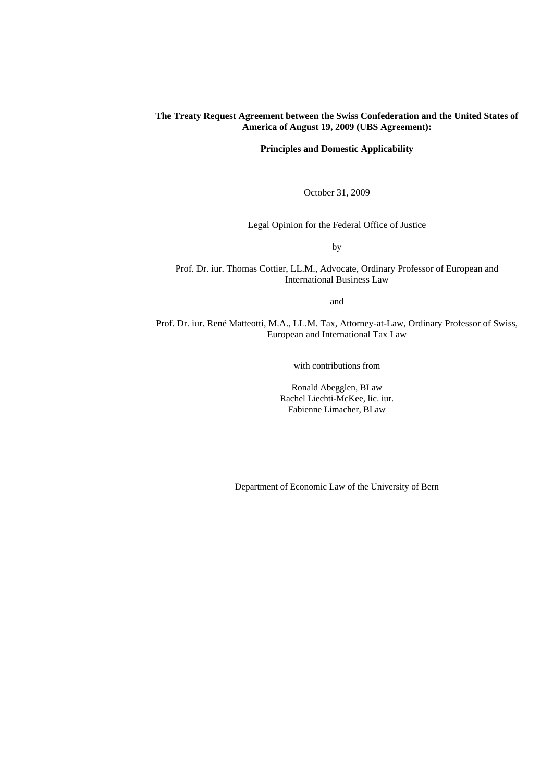# **The Treaty Request Agreement between the Swiss Confederation and the United States of America of August 19, 2009 (UBS Agreement):**

**Principles and Domestic Applicability** 

October 31, 2009

Legal Opinion for the Federal Office of Justice

by

Prof. Dr. iur. Thomas Cottier, LL.M., Advocate, Ordinary Professor of European and International Business Law

and

Prof. Dr. iur. René Matteotti, M.A., LL.M. Tax, Attorney-at-Law, Ordinary Professor of Swiss, European and International Tax Law

with contributions from

Ronald Abegglen, BLaw Rachel Liechti-McKee, lic. iur. Fabienne Limacher, BLaw

Department of Economic Law of the University of Bern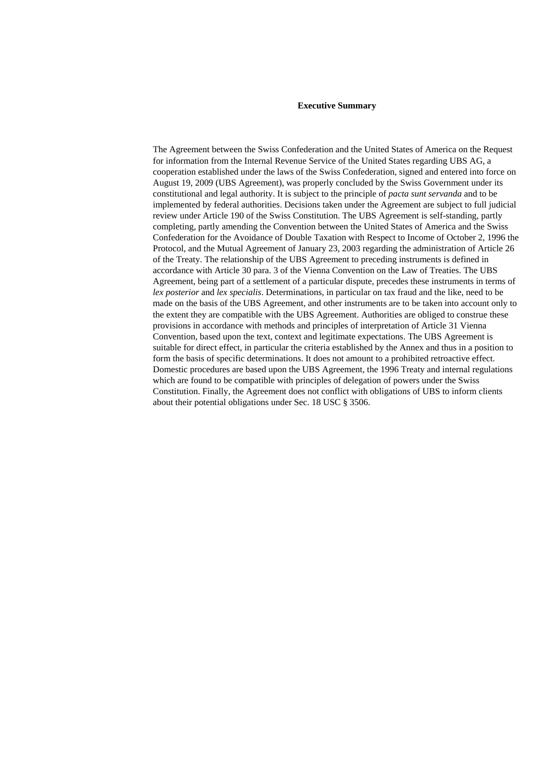#### **Executive Summary**

The Agreement between the Swiss Confederation and the United States of America on the Request for information from the Internal Revenue Service of the United States regarding UBS AG, a cooperation established under the laws of the Swiss Confederation, signed and entered into force on August 19, 2009 (UBS Agreement), was properly concluded by the Swiss Government under its constitutional and legal authority. It is subject to the principle of *pacta sunt servanda* and to be implemented by federal authorities. Decisions taken under the Agreement are subject to full judicial review under Article 190 of the Swiss Constitution. The UBS Agreement is self-standing, partly completing, partly amending the Convention between the United States of America and the Swiss Confederation for the Avoidance of Double Taxation with Respect to Income of October 2, 1996 the Protocol, and the Mutual Agreement of January 23, 2003 regarding the administration of Article 26 of the Treaty. The relationship of the UBS Agreement to preceding instruments is defined in accordance with Article 30 para. 3 of the Vienna Convention on the Law of Treaties. The UBS Agreement, being part of a settlement of a particular dispute, precedes these instruments in terms of *lex posterior* and *lex specialis*. Determinations, in particular on tax fraud and the like, need to be made on the basis of the UBS Agreement, and other instruments are to be taken into account only to the extent they are compatible with the UBS Agreement. Authorities are obliged to construe these provisions in accordance with methods and principles of interpretation of Article 31 Vienna Convention, based upon the text, context and legitimate expectations. The UBS Agreement is suitable for direct effect, in particular the criteria established by the Annex and thus in a position to form the basis of specific determinations. It does not amount to a prohibited retroactive effect. Domestic procedures are based upon the UBS Agreement, the 1996 Treaty and internal regulations which are found to be compatible with principles of delegation of powers under the Swiss Constitution. Finally, the Agreement does not conflict with obligations of UBS to inform clients about their potential obligations under Sec. 18 USC § 3506.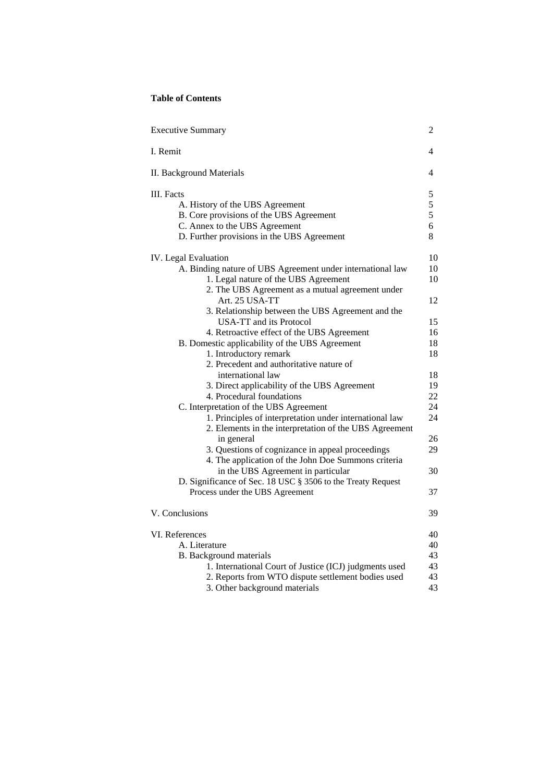# **Table of Contents**

| <b>Executive Summary</b>                                    |             |
|-------------------------------------------------------------|-------------|
| I. Remit                                                    |             |
| II. Background Materials                                    |             |
| III. Facts                                                  | 5           |
| A. History of the UBS Agreement                             | $rac{5}{5}$ |
| B. Core provisions of the UBS Agreement                     |             |
| C. Annex to the UBS Agreement                               | 6           |
| D. Further provisions in the UBS Agreement                  | 8           |
| <b>IV.</b> Legal Evaluation                                 | 10          |
| A. Binding nature of UBS Agreement under international law  | 10          |
| 1. Legal nature of the UBS Agreement                        | 10          |
| 2. The UBS Agreement as a mutual agreement under            |             |
| Art. 25 USA-TT                                              | 12          |
| 3. Relationship between the UBS Agreement and the           |             |
| <b>USA-TT</b> and its Protocol                              | 15          |
| 4. Retroactive effect of the UBS Agreement                  | 16          |
| B. Domestic applicability of the UBS Agreement              | 18          |
| 1. Introductory remark                                      | 18          |
| 2. Precedent and authoritative nature of                    |             |
| international law                                           | 18          |
| 3. Direct applicability of the UBS Agreement                | 19          |
| 4. Procedural foundations                                   | 22          |
| C. Interpretation of the UBS Agreement                      | 24          |
| 1. Principles of interpretation under international law     | 24          |
| 2. Elements in the interpretation of the UBS Agreement      |             |
| in general                                                  | 26          |
| 3. Questions of cognizance in appeal proceedings            | 29          |
| 4. The application of the John Doe Summons criteria         |             |
| in the UBS Agreement in particular                          | 30          |
| D. Significance of Sec. 18 USC § 3506 to the Treaty Request |             |
| Process under the UBS Agreement                             | 37          |
| V. Conclusions                                              | 39          |
| VI. References                                              | 40          |
| A. Literature                                               |             |
| <b>B.</b> Background materials                              | 40<br>43    |
| 1. International Court of Justice (ICJ) judgments used      | 43          |
| 2. Reports from WTO dispute settlement bodies used          | 43          |
| 3. Other background materials                               | 43          |
|                                                             |             |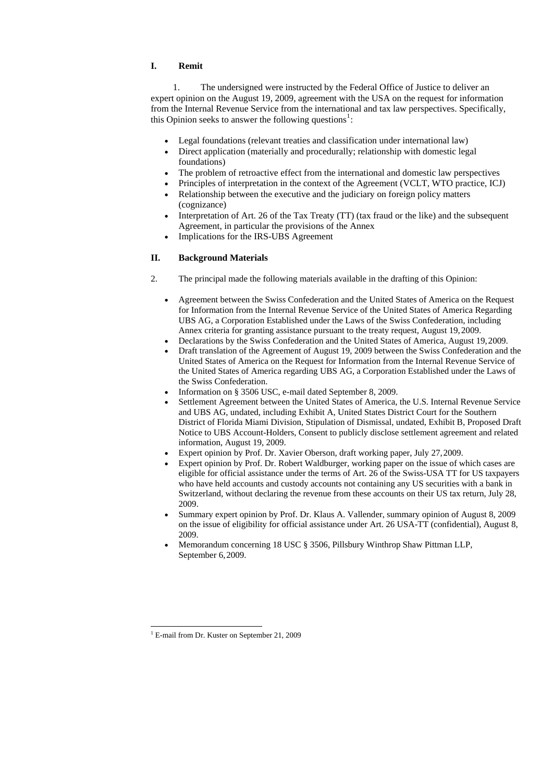# **I. Remit**

1. The undersigned were instructed by the Federal Office of Justice to deliver an expert opinion on the August 19, 2009, agreement with the USA on the request for information from the Internal Revenue Service from the international and tax law perspectives. Specifically, this Opinion seeks to answer the following questions<sup>[1](#page-4-0)</sup>:

- Legal foundations (relevant treaties and classification under international law)
- Direct application (materially and procedurally; relationship with domestic legal foundations)
- The problem of retroactive effect from the international and domestic law perspectives
- Principles of interpretation in the context of the Agreement (VCLT, WTO practice, ICJ)
- Relationship between the executive and the judiciary on foreign policy matters (cognizance)
- Interpretation of Art. 26 of the Tax Treaty (TT) (tax fraud or the like) and the subsequent Agreement, in particular the provisions of the Annex
- Implications for the IRS-UBS Agreement

# **II. Background Materials**

- 2. The principal made the following materials available in the drafting of this Opinion:
	- Agreement between the Swiss Confederation and the United States of America on the Request for Information from the Internal Revenue Service of the United States of America Regarding UBS AG, a Corporation Established under the Laws of the Swiss Confederation, including Annex criteria for granting assistance pursuant to the treaty request, August 19,2009.
	- Declarations by the Swiss Confederation and the United States of America, August 19, 2009.
	- Draft translation of the Agreement of August 19, 2009 between the Swiss Confederation and the United States of America on the Request for Information from the Internal Revenue Service of the United States of America regarding UBS AG, a Corporation Established under the Laws of the Swiss Confederation.
	- Information on § 3506 USC, e-mail dated September 8, 2009.
	- Settlement Agreement between the United States of America, the U.S. Internal Revenue Service and UBS AG, undated, including Exhibit A, United States District Court for the Southern District of Florida Miami Division, Stipulation of Dismissal, undated, Exhibit B, Proposed Draft Notice to UBS Account-Holders, Consent to publicly disclose settlement agreement and related information, August 19, 2009.
	- Expert opinion by Prof. Dr. Xavier Oberson, draft working paper, July 27,2009.
	- Expert opinion by Prof. Dr. Robert Waldburger, working paper on the issue of which cases are eligible for official assistance under the terms of Art. 26 of the Swiss-USA TT for US taxpayers who have held accounts and custody accounts not containing any US securities with a bank in Switzerland, without declaring the revenue from these accounts on their US tax return, July 28, 2009.
	- Summary expert opinion by Prof. Dr. Klaus A. Vallender, summary opinion of August 8, 2009 on the issue of eligibility for official assistance under Art. 26 USA-TT (confidential), August 8, 2009.
	- Memorandum concerning 18 USC § 3506, Pillsbury Winthrop Shaw Pittman LLP, September 6,2009.

<span id="page-4-0"></span><sup>1</sup> E-mail from Dr. Kuster on September 21, 2009

-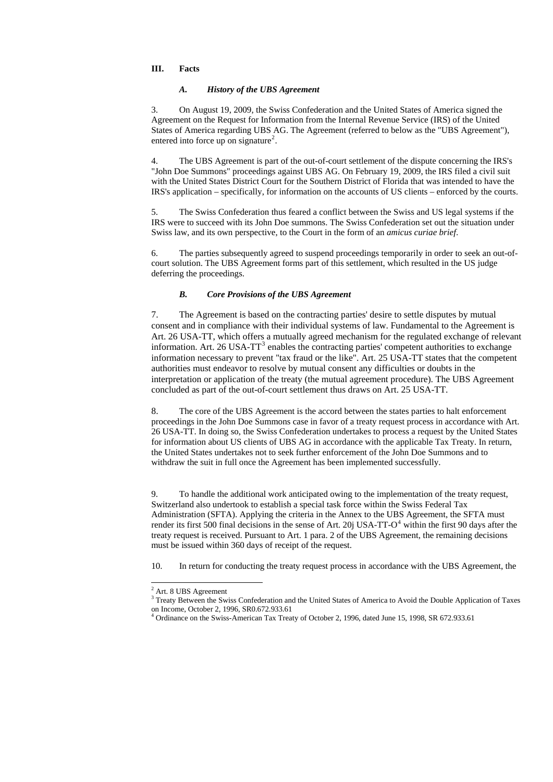### **III. Facts**

3. On August 19, 2009, the Swiss Confederation and the United States of America signed the Agreement on the Request for Information from the Internal Revenue Service (IRS) of the United States of America regarding UBS AG. The Agreement (referred to below as the "UBS Agreement"), entered into force up on signature<sup>[2](#page-5-0)</sup>.

### *A. History of the UBS Agreement*

4. The UBS Agreement is part of the out-of-court settlement of the dispute concerning the IRS's "John Doe Summons" proceedings against UBS AG. On February 19, 2009, the IRS filed a civil suit with the United States District Court for the Southern District of Florida that was intended to have the IRS's application – specifically, for information on the accounts of US clients – enforced by the courts.

5. The Swiss Confederation thus feared a conflict between the Swiss and US legal systems if the IRS were to succeed with its John Doe summons. The Swiss Confederation set out the situation under Swiss law, and its own perspective, to the Court in the form of an *amicus curiae brief*.

6. The parties subsequently agreed to suspend proceedings temporarily in order to seek an out-ofcourt solution. The UBS Agreement forms part of this settlement, which resulted in the US judge deferring the proceedings.

## *B. Core Provisions of the UBS Agreement*

7. The Agreement is based on the contracting parties' desire to settle disputes by mutual consent and in compliance with their individual systems of law. Fundamental to the Agreement is Art. 26 USA-TT, which offers a mutually agreed mechanism for the regulated exchange of relevant information. Art. 26 USA-TT<sup>[3](#page-5-1)</sup> enables the contracting parties' competent authorities to exchange information necessary to prevent "tax fraud or the like". Art. 25 USA-TT states that the competent authorities must endeavor to resolve by mutual consent any difficulties or doubts in the interpretation or application of the treaty (the mutual agreement procedure). The UBS Agreement concluded as part of the out-of-court settlement thus draws on Art. 25 USA-TT.

<sup>3</sup> Treaty Between the Swiss Confederation and the United States of America to Avoid the Double Application of Taxes on Income, October 2, 1996, SR0.672.933.61

<span id="page-5-2"></span><span id="page-5-1"></span><span id="page-5-0"></span><sup>4</sup> Ordinance on the Swiss-American Tax Treaty of October 2, 1996, dated June 15, 1998, SR 672.933.61

8. The core of the UBS Agreement is the accord between the states parties to halt enforcement proceedings in the John Doe Summons case in favor of a treaty request process in accordance with Art. 26 USA-TT. In doing so, the Swiss Confederation undertakes to process a request by the United States for information about US clients of UBS AG in accordance with the applicable Tax Treaty. In return, the United States undertakes not to seek further enforcement of the John Doe Summons and to withdraw the suit in full once the Agreement has been implemented successfully.

9. To handle the additional work anticipated owing to the implementation of the treaty request, Switzerland also undertook to establish a special task force within the Swiss Federal Tax Administration (SFTA). Applying the criteria in the Annex to the UBS Agreement, the SFTA must render its first 500 final decisions in the sense of Art. 20j USA-TT-O<sup>[4](#page-5-2)</sup> within the first 90 days after the treaty request is received. Pursuant to Art. 1 para. 2 of the UBS Agreement, the remaining decisions must be issued within 360 days of receipt of the request.

10. In return for conducting the treaty request process in accordance with the UBS Agreement, the

<sup>&</sup>lt;sup>2</sup> Art. 8 UBS Agreement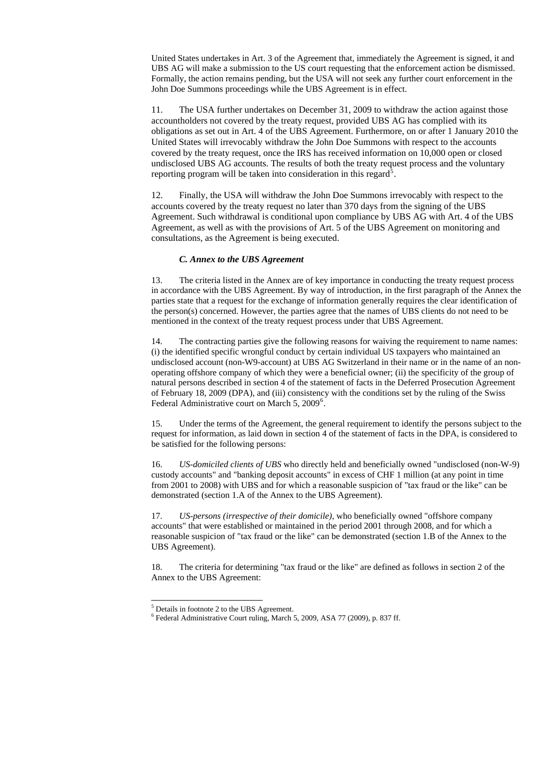United States undertakes in Art. 3 of the Agreement that, immediately the Agreement is signed, it and UBS AG will make a submission to the US court requesting that the enforcement action be dismissed. Formally, the action remains pending, but the USA will not seek any further court enforcement in the John Doe Summons proceedings while the UBS Agreement is in effect.

11. The USA further undertakes on December 31, 2009 to withdraw the action against those accountholders not covered by the treaty request, provided UBS AG has complied with its obligations as set out in Art. 4 of the UBS Agreement. Furthermore, on or after 1 January 2010 the United States will irrevocably withdraw the John Doe Summons with respect to the accounts covered by the treaty request, once the IRS has received information on 10,000 open or closed undisclosed UBS AG accounts. The results of both the treaty request process and the voluntary reporting program will be taken into consideration in this regard<sup>[5](#page-6-0)</sup>.

14. The contracting parties give the following reasons for waiving the requirement to name names: (i) the identified specific wrongful conduct by certain individual US taxpayers who maintained an undisclosed account (non-W9-account) at UBS AG Switzerland in their name or in the name of an nonoperating offshore company of which they were a beneficial owner; (ii) the specificity of the group of natural persons described in section 4 of the statement of facts in the Deferred Prosecution Agreement of February 18, 2009 (DPA), and (iii) consistency with the conditions set by the ruling of the Swiss Federal Administrative court on March 5, 2009<sup>[6](#page-6-1)</sup>.

12. Finally, the USA will withdraw the John Doe Summons irrevocably with respect to the accounts covered by the treaty request no later than 370 days from the signing of the UBS Agreement. Such withdrawal is conditional upon compliance by UBS AG with Art. 4 of the UBS Agreement, as well as with the provisions of Art. 5 of the UBS Agreement on monitoring and consultations, as the Agreement is being executed.

### *C. Annex to the UBS Agreement*

13. The criteria listed in the Annex are of key importance in conducting the treaty request process in accordance with the UBS Agreement. By way of introduction, in the first paragraph of the Annex the parties state that a request for the exchange of information generally requires the clear identification of the person(s) concerned. However, the parties agree that the names of UBS clients do not need to be mentioned in the context of the treaty request process under that UBS Agreement.

15. Under the terms of the Agreement, the general requirement to identify the persons subject to the request for information, as laid down in section 4 of the statement of facts in the DPA, is considered to be satisfied for the following persons:

16. *US-domiciled clients of UBS* who directly held and beneficially owned "undisclosed (non-W-9) custody accounts" and "banking deposit accounts" in excess of CHF 1 million (at any point in time from 2001 to 2008) with UBS and for which a reasonable suspicion of "tax fraud or the like" can be demonstrated (section 1.A of the Annex to the UBS Agreement).

17. *US-persons (irrespective of their domicile),* who beneficially owned "offshore company accounts" that were established or maintained in the period 2001 through 2008, and for which a reasonable suspicion of "tax fraud or the like" can be demonstrated (section 1.B of the Annex to the UBS Agreement).

18. The criteria for determining "tax fraud or the like" are defined as follows in section 2 of the Annex to the UBS Agreement:

<sup>5</sup> Details in footnote 2 to the UBS Agreement.

-

<span id="page-6-1"></span><span id="page-6-0"></span>6 Federal Administrative Court ruling, March 5, 2009, ASA 77 (2009), p. 837 ff.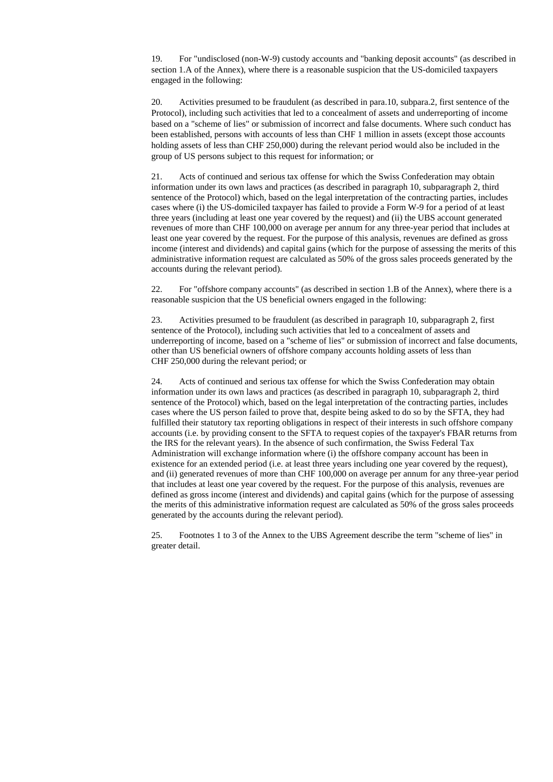19. For "undisclosed (non-W-9) custody accounts and "banking deposit accounts" (as described in section 1.A of the Annex), where there is a reasonable suspicion that the US-domiciled taxpayers engaged in the following:

20. Activities presumed to be fraudulent (as described in para.10, subpara.2, first sentence of the Protocol), including such activities that led to a concealment of assets and underreporting of income based on a "scheme of lies" or submission of incorrect and false documents. Where such conduct has been established, persons with accounts of less than CHF 1 million in assets (except those accounts holding assets of less than CHF 250,000) during the relevant period would also be included in the group of US persons subject to this request for information; or

21. Acts of continued and serious tax offense for which the Swiss Confederation may obtain information under its own laws and practices (as described in paragraph 10, subparagraph 2, third sentence of the Protocol) which, based on the legal interpretation of the contracting parties, includes cases where (i) the US-domiciled taxpayer has failed to provide a Form W-9 for a period of at least three years (including at least one year covered by the request) and (ii) the UBS account generated revenues of more than CHF 100,000 on average per annum for any three-year period that includes at least one year covered by the request. For the purpose of this analysis, revenues are defined as gross income (interest and dividends) and capital gains (which for the purpose of assessing the merits of this administrative information request are calculated as 50% of the gross sales proceeds generated by the accounts during the relevant period).

22. For "offshore company accounts" (as described in section 1.B of the Annex), where there is a reasonable suspicion that the US beneficial owners engaged in the following:

23. Activities presumed to be fraudulent (as described in paragraph 10, subparagraph 2, first sentence of the Protocol), including such activities that led to a concealment of assets and underreporting of income, based on a "scheme of lies" or submission of incorrect and false documents, other than US beneficial owners of offshore company accounts holding assets of less than CHF 250,000 during the relevant period; or

24. Acts of continued and serious tax offense for which the Swiss Confederation may obtain information under its own laws and practices (as described in paragraph 10, subparagraph 2, third sentence of the Protocol) which, based on the legal interpretation of the contracting parties, includes cases where the US person failed to prove that, despite being asked to do so by the SFTA, they had fulfilled their statutory tax reporting obligations in respect of their interests in such offshore company accounts (i.e. by providing consent to the SFTA to request copies of the taxpayer's FBAR returns from the IRS for the relevant years). In the absence of such confirmation, the Swiss Federal Tax Administration will exchange information where (i) the offshore company account has been in existence for an extended period (i.e. at least three years including one year covered by the request), and (ii) generated revenues of more than CHF 100,000 on average per annum for any three-year period that includes at least one year covered by the request. For the purpose of this analysis, revenues are defined as gross income (interest and dividends) and capital gains (which for the purpose of assessing the merits of this administrative information request are calculated as 50% of the gross sales proceeds generated by the accounts during the relevant period).

25. Footnotes 1 to 3 of the Annex to the UBS Agreement describe the term "scheme of lies" in greater detail.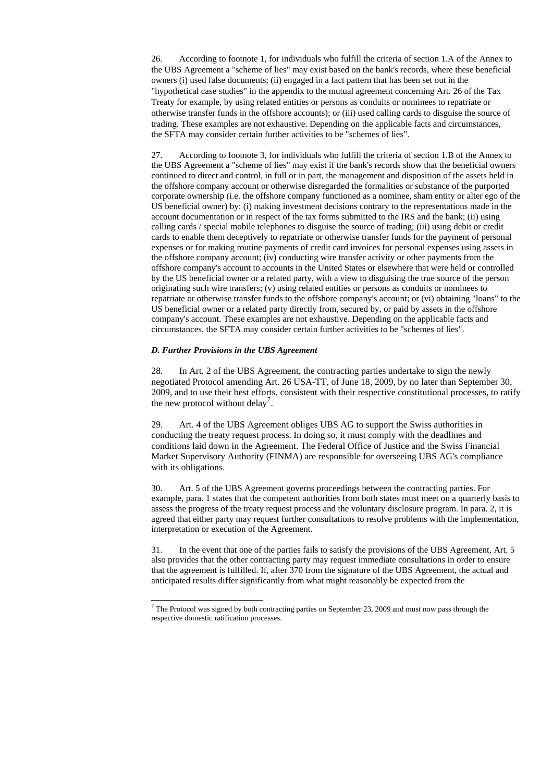26. According to footnote 1, for individuals who fulfill the criteria of section 1.A of the Annex to the UBS Agreement a "scheme of lies" may exist based on the bank's records, where these beneficial owners (i) used false documents; (ii) engaged in a fact pattern that has been set out in the "hypothetical case studies" in the appendix to the mutual agreement concerning Art. 26 of the Tax Treaty for example, by using related entities or persons as conduits or nominees to repatriate or otherwise transfer funds in the offshore accounts); or (iii) used calling cards to disguise the source of trading. These examples are not exhaustive. Depending on the applicable facts and circumstances, the SFTA may consider certain further activities to be "schemes of lies".

28. In Art. 2 of the UBS Agreement, the contracting parties undertake to sign the newly negotiated Protocol amending Art. 26 USA-TT, of June 18, 2009, by no later than September 30, 2009, and to use their best efforts, consistent with their respective constitutional processes, to ratify the new protocol without delay<sup>[7](#page-8-0)</sup>.

27. According to footnote 3, for individuals who fulfill the criteria of section 1.B of the Annex to the UBS Agreement a "scheme of lies" may exist if the bank's records show that the beneficial owners continued to direct and control, in full or in part, the management and disposition of the assets held in the offshore company account or otherwise disregarded the formalities or substance of the purported corporate ownership (i.e. the offshore company functioned as a nominee, sham entity or alter ego of the US beneficial owner) by: (i) making investment decisions contrary to the representations made in the account documentation or in respect of the tax forms submitted to the IRS and the bank; (ii) using calling cards / special mobile telephones to disguise the source of trading; (iii) using debit or credit cards to enable them deceptively to repatriate or otherwise transfer funds for the payment of personal expenses or for making routine payments of credit card invoices for personal expenses using assets in the offshore company account; (iv) conducting wire transfer activity or other payments from the offshore company's account to accounts in the United States or elsewhere that were held or controlled by the US beneficial owner or a related party, with a view to disguising the true source of the person originating such wire transfers; (v) using related entities or persons as conduits or nominees to repatriate or otherwise transfer funds to the offshore company's account; or (vi) obtaining "loans" to the US beneficial owner or a related party directly from, secured by, or paid by assets in the offshore company's account. These examples are not exhaustive. Depending on the applicable facts and circumstances, the SFTA may consider certain further activities to be "schemes of lies".

<span id="page-8-0"></span><sup>7</sup> The Protocol was signed by both contracting parties on September 23, 2009 and must now pass through the respective domestic ratification processes.

### *D. Further Provisions in the UBS Agreement*

-

29. Art. 4 of the UBS Agreement obliges UBS AG to support the Swiss authorities in conducting the treaty request process. In doing so, it must comply with the deadlines and conditions laid down in the Agreement. The Federal Office of Justice and the Swiss Financial Market Supervisory Authority (FINMA) are responsible for overseeing UBS AG's compliance with its obligations.

30. Art. 5 of the UBS Agreement governs proceedings between the contracting parties. For example, para. 1 states that the competent authorities from both states must meet on a quarterly basis to assess the progress of the treaty request process and the voluntary disclosure program. In para. 2, it is agreed that either party may request further consultations to resolve problems with the implementation, interpretation or execution of the Agreement.

31. In the event that one of the parties fails to satisfy the provisions of the UBS Agreement, Art. 5 also provides that the other contracting party may request immediate consultations in order to ensure that the agreement is fulfilled. If, after 370 from the signature of the UBS Agreement, the actual and anticipated results differ significantly from what might reasonably be expected from the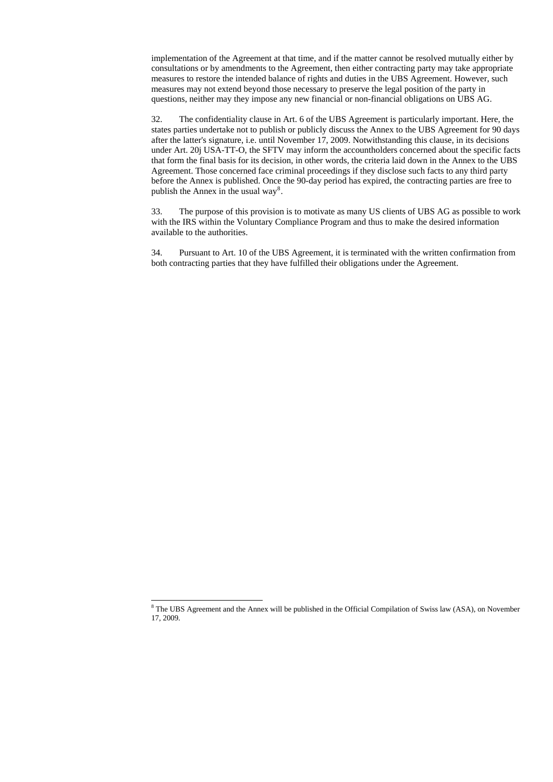implementation of the Agreement at that time, and if the matter cannot be resolved mutually either by consultations or by amendments to the Agreement, then either contracting party may take appropriate measures to restore the intended balance of rights and duties in the UBS Agreement. However, such measures may not extend beyond those necessary to preserve the legal position of the party in questions, neither may they impose any new financial or non-financial obligations on UBS AG.

32. The confidentiality clause in Art. 6 of the UBS Agreement is particularly important. Here, the states parties undertake not to publish or publicly discuss the Annex to the UBS Agreement for 90 days after the latter's signature, i.e. until November 17, 2009. Notwithstanding this clause, in its decisions under Art. 20j USA-TT-O, the SFTV may inform the accountholders concerned about the specific facts that form the final basis for its decision, in other words, the criteria laid down in the Annex to the UBS Agreement. Those concerned face criminal proceedings if they disclose such facts to any third party before the Annex is published. Once the 90-day period has expired, the contracting parties are free to publish the Annex in the usual way<sup>[8](#page-9-0)</sup>.

-

33. The purpose of this provision is to motivate as many US clients of UBS AG as possible to work with the IRS within the Voluntary Compliance Program and thus to make the desired information available to the authorities.

34. Pursuant to Art. 10 of the UBS Agreement, it is terminated with the written confirmation from both contracting parties that they have fulfilled their obligations under the Agreement.

<span id="page-9-0"></span><sup>&</sup>lt;sup>8</sup> The UBS Agreement and the Annex will be published in the Official Compilation of Swiss law (ASA), on November 17, 2009.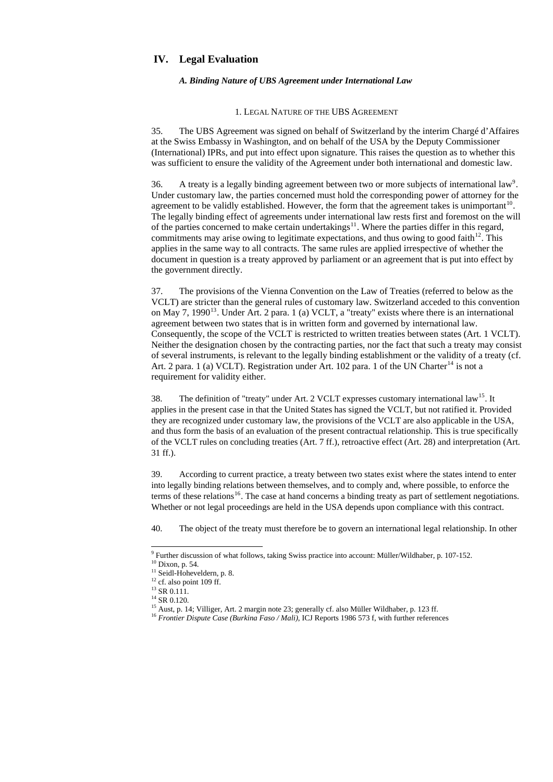# **IV. Legal Evaluation**

### *A. Binding Nature of UBS Agreement under International Law*

#### 1. LEGAL NATURE OF THE UBS AGREEMENT

35. The UBS Agreement was signed on behalf of Switzerland by the interim Chargé d'Affaires at the Swiss Embassy in Washington, and on behalf of the USA by the Deputy Commissioner (International) IPRs, and put into effect upon signature. This raises the question as to whether this was sufficient to ensure the validity of the Agreement under both international and domestic law.

36. A treaty is a legally binding agreement between two or more subjects of international law<sup>[9](#page-10-0)</sup>. Under customary law, the parties concerned must hold the corresponding power of attorney for the agreement to be validly established. However, the form that the agreement takes is unimportant  $10$ . The legally binding effect of agreements under international law rests first and foremost on the will of the parties concerned to make certain undertakings<sup>[11](#page-10-2)</sup>. Where the parties differ in this regard, commitments may arise owing to legitimate expectations, and thus owing to good faith<sup>[12](#page-10-3)</sup>. This applies in the same way to all contracts. The same rules are applied irrespective of whether the document in question is a treaty approved by parliament or an agreement that is put into effect by the government directly.

38. The definition of "treaty" under Art. 2 VCLT expresses customary international law<sup>[15](#page-10-6)</sup>. It applies in the present case in that the United States has signed the VCLT, but not ratified it. Provided they are recognized under customary law, the provisions of the VCLT are also applicable in the USA, and thus form the basis of an evaluation of the present contractual relationship. This is true specifically of the VCLT rules on concluding treaties (Art. 7 ff.), retroactive effect (Art. 28) and interpretation (Art. 31 ff.).

37. The provisions of the Vienna Convention on the Law of Treaties (referred to below as the VCLT) are stricter than the general rules of customary law. Switzerland acceded to this convention on May 7, 1990<sup>[13](#page-10-4)</sup>. Under Art. 2 para. 1 (a) VCLT, a "treaty" exists where there is an international agreement between two states that is in written form and governed by international law. Consequently, the scope of the VCLT is restricted to written treaties between states (Art. 1 VCLT). Neither the designation chosen by the contracting parties, nor the fact that such a treaty may consist of several instruments, is relevant to the legally binding establishment or the validity of a treaty (cf. Art. 2 para. 1 (a) VCLT). Registration under Art. 102 para. 1 of the UN Charter<sup>[14](#page-10-5)</sup> is not a requirement for validity either.

39. According to current practice, a treaty between two states exist where the states intend to enter into legally binding relations between themselves, and to comply and, where possible, to enforce the terms of these relations<sup>[16](#page-10-7)</sup>. The case at hand concerns a binding treaty as part of settlement negotiations. Whether or not legal proceedings are held in the USA depends upon compliance with this contract.

40. The object of the treaty must therefore be to govern an international legal relationship. In other

 $\overline{a}$ 

 $^{13}$  SR 0.111.  $^{14}$  SR 0.120. <sup>15</sup> Aust, p. 14; Villiger, Art. 2 margin note 23; generally cf. also Müller Wildhaber, p. 123 ff.

<span id="page-10-7"></span><span id="page-10-6"></span><span id="page-10-5"></span><span id="page-10-4"></span><span id="page-10-3"></span><span id="page-10-2"></span><span id="page-10-1"></span><span id="page-10-0"></span><sup>16</sup> Frontier Dispute Case (Burkina Faso / Mali), ICJ Reports 1986 573 f, with further references

 $9$  Further discussion of what follows, taking Swiss practice into account: Müller/Wildhaber, p. 107-152.

 $10$  Dixon, p. 54.

<sup>&</sup>lt;sup>11</sup> Seidl-Hoheveldern, p. 8.

 $12$  cf. also point 109 ff.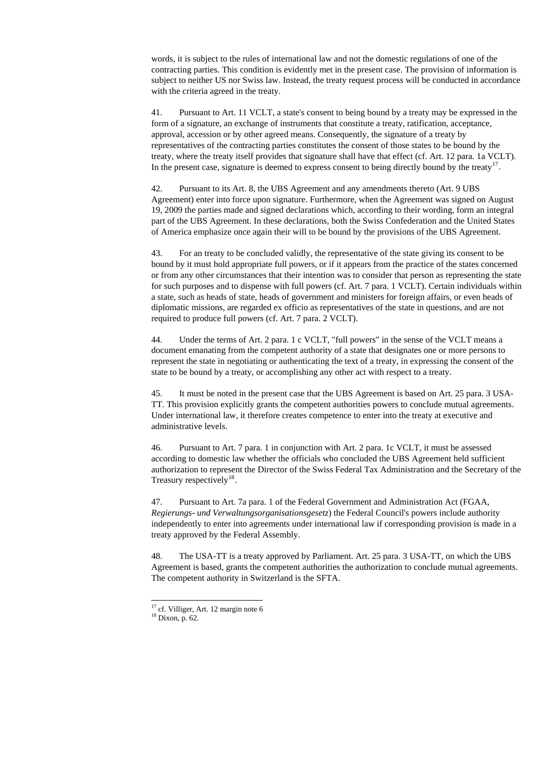words, it is subject to the rules of international law and not the domestic regulations of one of the contracting parties. This condition is evidently met in the present case. The provision of information is subject to neither US nor Swiss law. Instead, the treaty request process will be conducted in accordance with the criteria agreed in the treaty.

41. Pursuant to Art. 11 VCLT, a state's consent to being bound by a treaty may be expressed in the form of a signature, an exchange of instruments that constitute a treaty, ratification, acceptance, approval, accession or by other agreed means. Consequently, the signature of a treaty by representatives of the contracting parties constitutes the consent of those states to be bound by the treaty, where the treaty itself provides that signature shall have that effect (cf. Art. 12 para. 1a VCLT). In the present case, signature is deemed to express consent to being directly bound by the treaty<sup>[17](#page-11-0)</sup>.

42. Pursuant to its Art. 8, the UBS Agreement and any amendments thereto (Art. 9 UBS Agreement) enter into force upon signature. Furthermore, when the Agreement was signed on August 19, 2009 the parties made and signed declarations which, according to their wording, form an integral part of the UBS Agreement. In these declarations, both the Swiss Confederation and the United States of America emphasize once again their will to be bound by the provisions of the UBS Agreement.

46. Pursuant to Art. 7 para. 1 in conjunction with Art. 2 para. 1c VCLT, it must be assessed according to domestic law whether the officials who concluded the UBS Agreement held sufficient authorization to represent the Director of the Swiss Federal Tax Administration and the Secretary of the Treasury respectively<sup>[18](#page-11-1)</sup>.

43. For an treaty to be concluded validly, the representative of the state giving its consent to be bound by it must hold appropriate full powers, or if it appears from the practice of the states concerned or from any other circumstances that their intention was to consider that person as representing the state for such purposes and to dispense with full powers (cf. Art. 7 para. 1 VCLT). Certain individuals within a state, such as heads of state, heads of government and ministers for foreign affairs, or even heads of diplomatic missions, are regarded ex officio as representatives of the state in questions, and are not required to produce full powers (cf. Art. 7 para. 2 VCLT).

44. Under the terms of Art. 2 para. 1 c VCLT, "full powers" in the sense of the VCLT means a document emanating from the competent authority of a state that designates one or more persons to represent the state in negotiating or authenticating the text of a treaty, in expressing the consent of the state to be bound by a treaty, or accomplishing any other act with respect to a treaty.

45. It must be noted in the present case that the UBS Agreement is based on Art. 25 para. 3 USA-TT. This provision explicitly grants the competent authorities powers to conclude mutual agreements. Under international law, it therefore creates competence to enter into the treaty at executive and administrative levels.

47. Pursuant to Art. 7a para. 1 of the Federal Government and Administration Act (FGAA, *Regierungs- und Verwaltungsorganisationsgesetz*) the Federal Council's powers include authority independently to enter into agreements under international law if corresponding provision is made in a treaty approved by the Federal Assembly.

48. The USA-TT is a treaty approved by Parliament. Art. 25 para. 3 USA-TT, on which the UBS Agreement is based, grants the competent authorities the authorization to conclude mutual agreements. The competent authority in Switzerland is the SFTA.

<span id="page-11-1"></span><span id="page-11-0"></span><sup>17</sup> cf. Villiger, Art. 12 margin note 6  $18$  Dixon, p. 62.

-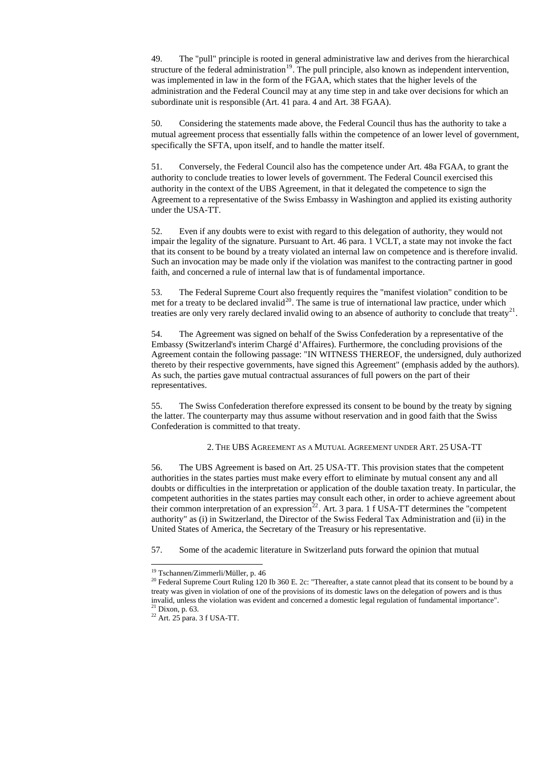49. The "pull" principle is rooted in general administrative law and derives from the hierarchical structure of the federal administration<sup>[19](#page-12-0)</sup>. The pull principle, also known as independent intervention, was implemented in law in the form of the FGAA, which states that the higher levels of the administration and the Federal Council may at any time step in and take over decisions for which an subordinate unit is responsible (Art. 41 para. 4 and Art. 38 FGAA).

50. Considering the statements made above, the Federal Council thus has the authority to take a mutual agreement process that essentially falls within the competence of an lower level of government, specifically the SFTA, upon itself, and to handle the matter itself.

53. The Federal Supreme Court also frequently requires the "manifest violation" condition to be met for a treaty to be declared invalid<sup>[20](#page-12-1)</sup>. The same is true of international law practice, under which treaties are only very rarely declared invalid owing to an absence of authority to conclude that treaty<sup>[21](#page-12-2)</sup>.

51. Conversely, the Federal Council also has the competence under Art. 48a FGAA, to grant the authority to conclude treaties to lower levels of government. The Federal Council exercised this authority in the context of the UBS Agreement, in that it delegated the competence to sign the Agreement to a representative of the Swiss Embassy in Washington and applied its existing authority under the USA-TT.

52. Even if any doubts were to exist with regard to this delegation of authority, they would not impair the legality of the signature. Pursuant to Art. 46 para. 1 VCLT, a state may not invoke the fact that its consent to be bound by a treaty violated an internal law on competence and is therefore invalid. Such an invocation may be made only if the violation was manifest to the contracting partner in good faith, and concerned a rule of internal law that is of fundamental importance.

treaty was given in violation of one of the provisions of its domestic laws on the delegation of powers and is thus invalid, unless the violation was evident and concerned a domestic legal regulation of fundamental importance".  $21$  Dixon, p. 63.

<span id="page-12-3"></span><span id="page-12-2"></span><span id="page-12-1"></span><span id="page-12-0"></span> $22$  Art. 25 para. 3 f USA-TT.

 $\overline{a}$ 

54. The Agreement was signed on behalf of the Swiss Confederation by a representative of the Embassy (Switzerland's interim Chargé d'Affaires). Furthermore, the concluding provisions of the Agreement contain the following passage: "IN WITNESS THEREOF, the undersigned, duly authorized thereto by their respective governments, have signed this Agreement" (emphasis added by the authors). As such, the parties gave mutual contractual assurances of full powers on the part of their representatives.

55. The Swiss Confederation therefore expressed its consent to be bound by the treaty by signing the latter. The counterparty may thus assume without reservation and in good faith that the Swiss Confederation is committed to that treaty.

### 2. THE UBS AGREEMENT AS A MUTUAL AGREEMENT UNDER ART. 25 USA-TT

56. The UBS Agreement is based on Art. 25 USA-TT. This provision states that the competent authorities in the states parties must make every effort to eliminate by mutual consent any and all doubts or difficulties in the interpretation or application of the double taxation treaty. In particular, the competent authorities in the states parties may consult each other, in order to achieve agreement about their common interpretation of an expression<sup>[22](#page-12-3)</sup>. Art. 3 para. 1 f USA-TT determines the "competent authority" as (i) in Switzerland, the Director of the Swiss Federal Tax Administration and (ii) in the United States of America, the Secretary of the Treasury or his representative.

57. Some of the academic literature in Switzerland puts forward the opinion that mutual

<sup>19</sup> Tschannen/Zimmerli/Müller, p. 46

<sup>&</sup>lt;sup>20</sup> Federal Supreme Court Ruling 120 Ib 360 E. 2c: "Thereafter, a state cannot plead that its consent to be bound by a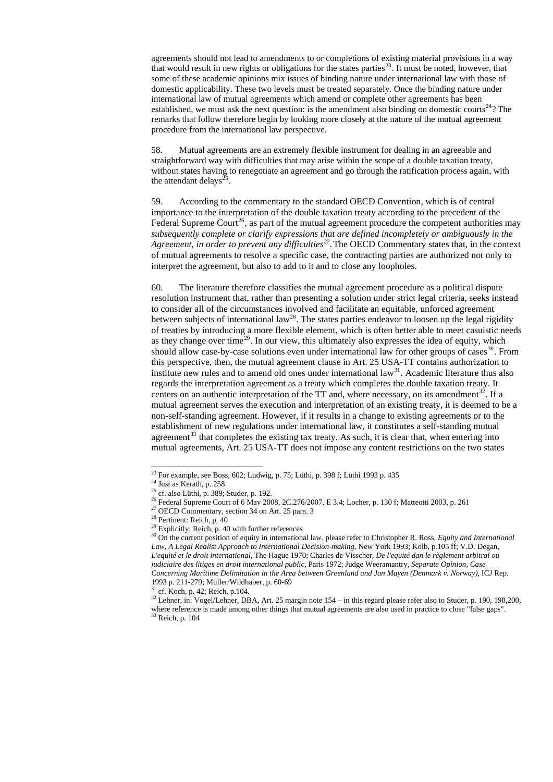agreements should not lead to amendments to or completions of existing material provisions in a way that would result in new rights or obligations for the states parties<sup>[23](#page-13-0)</sup>. It must be noted, however, that some of these academic opinions mix issues of binding nature under international law with those of domestic applicability. These two levels must be treated separately. Once the binding nature under international law of mutual agreements which amend or complete other agreements has been established, we must ask the next question: is the amendment also binding on domestic courts<sup>[24](#page-13-1)</sup>? The remarks that follow therefore begin by looking more closely at the nature of the mutual agreement procedure from the international law perspective.

58. Mutual agreements are an extremely flexible instrument for dealing in an agreeable and straightforward way with difficulties that may arise within the scope of a double taxation treaty, without states having to renegotiate an agreement and go through the ratification process again, with the attendant delays<sup>[25](#page-13-2)</sup>.

59. According to the commentary to the standard OECD Convention, which is of central importance to the interpretation of the double taxation treaty according to the precedent of the Federal Supreme Court<sup>[26](#page-13-3)</sup>, as part of the mutual agreement procedure the competent authorities may *subsequently complete or clarify expressions that are defined incompletely or ambiguously in the Agreement, in order to prevent any difficulties[27](#page-13-4).*The OECD Commentary states that, in the context of mutual agreements to resolve a specific case, the contracting parties are authorized not only to interpret the agreement, but also to add to it and to close any loopholes.

<span id="page-13-10"></span><span id="page-13-9"></span><span id="page-13-8"></span><span id="page-13-7"></span><span id="page-13-6"></span><span id="page-13-5"></span><span id="page-13-4"></span><span id="page-13-3"></span><span id="page-13-2"></span><span id="page-13-1"></span><span id="page-13-0"></span> $32$  Lehner, in: Vogel/Lehner, DBA, Art. 25 margin note  $154 -$ in this regard please refer also to Studer, p. 190, 198,200, where reference is made among other things that mutual agreements are also used in practice to close "false gaps". 33 Reich, p. 104

60. The literature therefore classifies the mutual agreement procedure as a political dispute resolution instrument that, rather than presenting a solution under strict legal criteria, seeks instead to consider all of the circumstances involved and facilitate an equitable, unforced agreement between subjects of international law<sup>[28](#page-13-5)</sup>. The states parties endeavor to loosen up the legal rigidity of treaties by introducing a more flexible element, which is often better able to meet casuistic needs as they change over time<sup>[29](#page-13-6)</sup>. In our view, this ultimately also expresses the idea of equity, which should allow case-by-case solutions even under international law for other groups of cases  $30$ . From this perspective, then, the mutual agreement clause in Art. 25 USA-TT contains authorization to institute new rules and to amend old ones under international  $law<sup>31</sup>$  $law<sup>31</sup>$  $law<sup>31</sup>$ . Academic literature thus also regards the interpretation agreement as a treaty which completes the double taxation treaty. It centers on an authentic interpretation of the  $TT$  and, where necessary, on its amendment<sup>[32](#page-13-9)</sup>. If a mutual agreement serves the execution and interpretation of an existing treaty, it is deemed to be a non-self-standing agreement. However, if it results in a change to existing agreements or to the establishment of new regulations under international law, it constitutes a self-standing mutual agreement<sup>[33](#page-13-10)</sup> that completes the existing tax treaty. As such, it is clear that, when entering into mutual agreements, Art. 25 USA-TT does not impose any content restrictions on the two states

 $\overline{a}$ 

 $31$  cf. Koch, p. 42; Reich, p.104.

<sup>&</sup>lt;sup>23</sup> For example, see Boss, 602; Ludwig, p. 75; Lüthi, p. 398 f; Lüthi 1993 p. 435

 $24$  Just as Kerath, p. 258

<sup>&</sup>lt;sup>25</sup> cf. also Lüthi, p. 389; Studer, p. 192.

<sup>&</sup>lt;sup>26</sup> Federal Supreme Court of 6 May 2008, 2C.276/2007, E 3.4; Locher, p. 130 f; Matteotti 2003, p. 261

<sup>&</sup>lt;sup>27</sup> OECD Commentary, section 34 on Art. 25 para. 3

<sup>&</sup>lt;sup>28</sup> Pertinent: Reich, p. 40

 $29$  Explicitly: Reich, p. 40 with further references

<sup>30</sup> On the current position of equity in international law, please refer to Christopher R. Ross, *Equity and International Law, A Legal Realist Approach to International Decision-making*, New York 1993; Kolb, p.105 ff; V.D. Degan, *L'equité et le droit international*, The Hague 1970; Charles de Visscher, *De l'equité dan le règlement arbitral ou judiciaire des litiges en droit international public*, Paris 1972; Judge Weeramantry, *Separate Opinion, Case Concerning Maritime Delimitation in the Area between Greenland and Jan Mayen (Denmark v. Norway)*, ICJ Rep. 1993 p. 211-279; Müller/Wildhaber, p. 60-69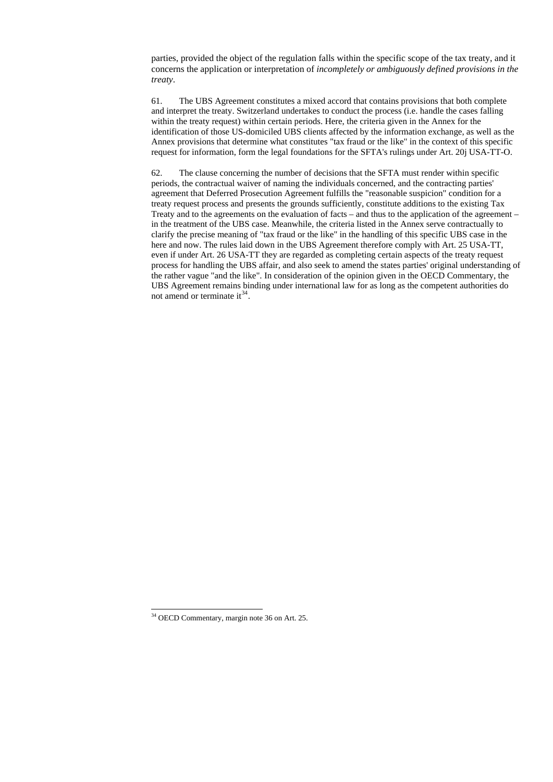parties, provided the object of the regulation falls within the specific scope of the tax treaty, and it concerns the application or interpretation of *incompletely or ambiguously defined provisions in the treaty*.

62. The clause concerning the number of decisions that the SFTA must render within specific periods, the contractual waiver of naming the individuals concerned, and the contracting parties' agreement that Deferred Prosecution Agreement fulfills the "reasonable suspicion" condition for a treaty request process and presents the grounds sufficiently, constitute additions to the existing Tax Treaty and to the agreements on the evaluation of facts – and thus to the application of the agreement – in the treatment of the UBS case. Meanwhile, the criteria listed in the Annex serve contractually to clarify the precise meaning of "tax fraud or the like" in the handling of this specific UBS case in the here and now. The rules laid down in the UBS Agreement therefore comply with Art. 25 USA-TT, even if under Art. 26 USA-TT they are regarded as completing certain aspects of the treaty request process for handling the UBS affair, and also seek to amend the states parties' original understanding of the rather vague "and the like". In consideration of the opinion given in the OECD Commentary, the UBS Agreement remains binding under international law for as long as the competent authorities do not amend or terminate it  $34$ .

61. The UBS Agreement constitutes a mixed accord that contains provisions that both complete and interpret the treaty. Switzerland undertakes to conduct the process (i.e. handle the cases falling within the treaty request) within certain periods. Here, the criteria given in the Annex for the identification of those US-domiciled UBS clients affected by the information exchange, as well as the Annex provisions that determine what constitutes "tax fraud or the like" in the context of this specific request for information, form the legal foundations for the SFTA's rulings under Art. 20j USA-TT-O.

<span id="page-14-0"></span>34 OECD Commentary, margin note 36 on Art. 25.

 $\overline{a}$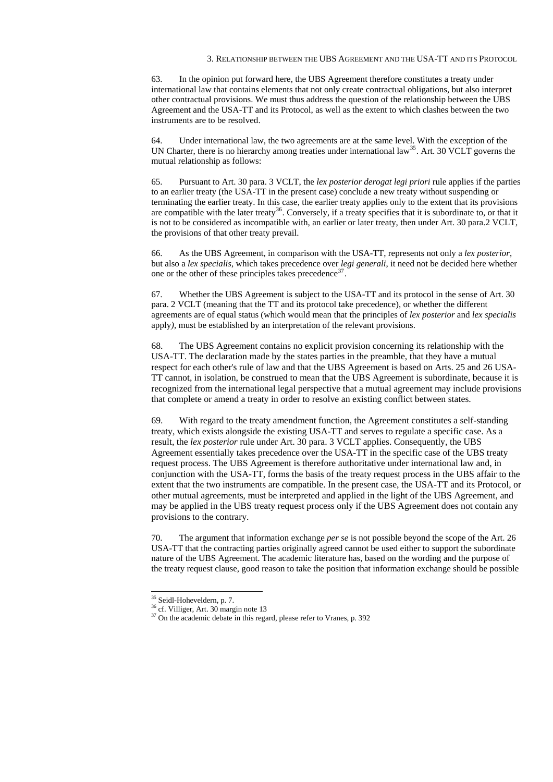#### 3. RELATIONSHIP BETWEEN THE UBS AGREEMENT AND THE USA-TT AND ITS PROTOCOL

63. In the opinion put forward here, the UBS Agreement therefore constitutes a treaty under international law that contains elements that not only create contractual obligations, but also interpret other contractual provisions. We must thus address the question of the relationship between the UBS Agreement and the USA-TT and its Protocol, as well as the extent to which clashes between the two instruments are to be resolved.

64. Under international law, the two agreements are at the same level. With the exception of the UN Charter, there is no hierarchy among treaties under international law<sup>[35](#page-15-0)</sup>. Art. 30 VCLT governs the mutual relationship as follows:

66. As the UBS Agreement, in comparison with the USA-TT, represents not only a *lex posterior*, but also a *lex specialis*, which takes precedence over *legi generali*, it need not be decided here whether one or the other of these principles takes precedence  $37$ .

65. Pursuant to Art. 30 para. 3 VCLT, the *lex posterior derogat legi priori* rule applies if the parties to an earlier treaty (the USA-TT in the present case) conclude a new treaty without suspending or terminating the earlier treaty. In this case, the earlier treaty applies only to the extent that its provisions are compatible with the later treaty<sup>[36](#page-15-1)</sup>. Conversely, if a treaty specifies that it is subordinate to, or that it is not to be considered as incompatible with, an earlier or later treaty, then under Art. 30 para.2 VCLT, the provisions of that other treaty prevail.

67. Whether the UBS Agreement is subject to the USA-TT and its protocol in the sense of Art. 30 para. 2 VCLT (meaning that the TT and its protocol take precedence), or whether the different agreements are of equal status (which would mean that the principles of *lex posterior* and *lex specialis*  apply*),* must be established by an interpretation of the relevant provisions.

-<sup>35</sup> Seidl-Hoheveldern, p. 7. 36 cf. Villiger, Art. 30 margin note 13

<span id="page-15-2"></span><span id="page-15-1"></span><span id="page-15-0"></span> $37$  On the academic debate in this regard, please refer to Vranes, p. 392

68. The UBS Agreement contains no explicit provision concerning its relationship with the USA-TT. The declaration made by the states parties in the preamble, that they have a mutual respect for each other's rule of law and that the UBS Agreement is based on Arts. 25 and 26 USA-TT cannot, in isolation, be construed to mean that the UBS Agreement is subordinate, because it is recognized from the international legal perspective that a mutual agreement may include provisions that complete or amend a treaty in order to resolve an existing conflict between states.

69. With regard to the treaty amendment function, the Agreement constitutes a self-standing treaty, which exists alongside the existing USA-TT and serves to regulate a specific case. As a result, the *lex posterior* rule under Art. 30 para. 3 VCLT applies. Consequently, the UBS Agreement essentially takes precedence over the USA-TT in the specific case of the UBS treaty request process. The UBS Agreement is therefore authoritative under international law and, in conjunction with the USA-TT, forms the basis of the treaty request process in the UBS affair to the extent that the two instruments are compatible. In the present case, the USA-TT and its Protocol, or other mutual agreements, must be interpreted and applied in the light of the UBS Agreement, and may be applied in the UBS treaty request process only if the UBS Agreement does not contain any provisions to the contrary.

70. The argument that information exchange *per se* is not possible beyond the scope of the Art. 26 USA-TT that the contracting parties originally agreed cannot be used either to support the subordinate nature of the UBS Agreement. The academic literature has, based on the wording and the purpose of the treaty request clause, good reason to take the position that information exchange should be possible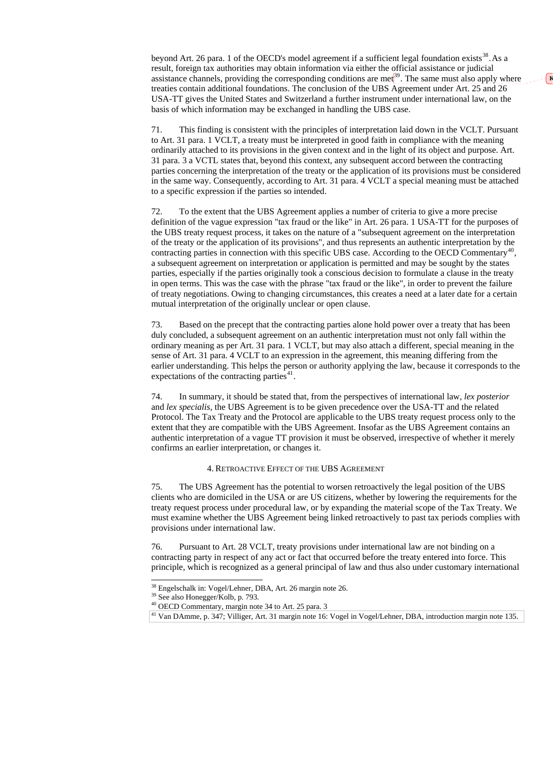beyond Art. 26 para. 1 of the OECD's model agreement if a sufficient legal foundation exists  $38$ . As a result, foreign tax authorities may obtain information via either the official assistance or judicial assistance channels, providing the corresponding conditions are met $^{39}$  $^{39}$  $^{39}$ . The same must also apply where treaties contain additional foundations. The conclusion of the UBS Agreement under Art. 25 and 26 USA-TT gives the United States and Switzerland a further instrument under international law, on the basis of which information may be exchanged in handling the UBS case.

71. This finding is consistent with the principles of interpretation laid down in the VCLT. Pursuant to Art. 31 para. 1 VCLT, a treaty must be interpreted in good faith in compliance with the meaning ordinarily attached to its provisions in the given context and in the light of its object and purpose. Art. 31 para. 3 a VCTL states that, beyond this context, any subsequent accord between the contracting parties concerning the interpretation of the treaty or the application of its provisions must be considered in the same way. Consequently, according to Art. 31 para. 4 VCLT a special meaning must be attached to a specific expression if the parties so intended.

73. Based on the precept that the contracting parties alone hold power over a treaty that has been duly concluded, a subsequent agreement on an authentic interpretation must not only fall within the ordinary meaning as per Art. 31 para. 1 VCLT, but may also attach a different, special meaning in the sense of Art. 31 para. 4 VCLT to an expression in the agreement, this meaning differing from the earlier understanding. This helps the person or authority applying the law, because it corresponds to the expectations of the contracting parties $41$ .

72. To the extent that the UBS Agreement applies a number of criteria to give a more precise definition of the vague expression "tax fraud or the like" in Art. 26 para. 1 USA-TT for the purposes of the UBS treaty request process, it takes on the nature of a "subsequent agreement on the interpretation of the treaty or the application of its provisions", and thus represents an authentic interpretation by the contracting parties in connection with this specific UBS case. According to the OECD Commentary<sup>[40](#page-16-2)</sup>, a subsequent agreement on interpretation or application is permitted and may be sought by the states parties, especially if the parties originally took a conscious decision to formulate a clause in the treaty in open terms. This was the case with the phrase "tax fraud or the like", in order to prevent the failure of treaty negotiations. Owing to changing circumstances, this creates a need at a later date for a certain mutual interpretation of the originally unclear or open clause.

74. In summary, it should be stated that, from the perspectives of international law, *lex posterior* and *lex specialis*, the UBS Agreement is to be given precedence over the USA-TT and the related Protocol. The Tax Treaty and the Protocol are applicable to the UBS treaty request process only to the extent that they are compatible with the UBS Agreement. Insofar as the UBS Agreement contains an authentic interpretation of a vague TT provision it must be observed, irrespective of whether it merely confirms an earlier interpretation, or changes it.

### 4. RETROACTIVE EFFECT OF THE UBS AGREEMENT

75. The UBS Agreement has the potential to worsen retroactively the legal position of the UBS clients who are domiciled in the USA or are US citizens, whether by lowering the requirements for the treaty request process under procedural law, or by expanding the material scope of the Tax Treaty. We must examine whether the UBS Agreement being linked retroactively to past tax periods complies with provisions under international law.

76. Pursuant to Art. 28 VCLT, treaty provisions under international law are not binding on a contracting party in respect of any act or fact that occurred before the treaty entered into force. This principle, which is recognized as a general principal of law and thus also under customary international

39 See also Honegger/Kolb, p. 793.

 $\overline{a}$ 

40 OECD Commentary, margin note 34 to Art. 25 para. 3

<span id="page-16-3"></span><span id="page-16-2"></span><span id="page-16-1"></span><span id="page-16-0"></span><sup>41</sup> Van DAmme, p. 347; Villiger, Art. 31 margin note 16: Vogel in Vogel/Lehner, DBA, introduction margin note 135.

**K**

<sup>38</sup> Engelschalk in: Vogel/Lehner, DBA, Art. 26 margin note 26.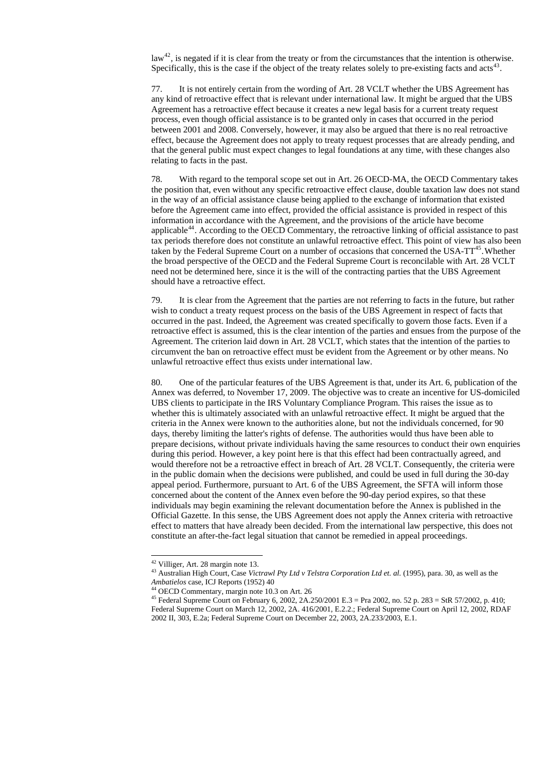law<sup>[42](#page-17-0)</sup>, is negated if it is clear from the treaty or from the circumstances that the intention is otherwise. Specifically, this is the case if the object of the treaty relates solely to pre-existing facts and  $\arctan 43$  $\arctan 43$ .

77. It is not entirely certain from the wording of Art. 28 VCLT whether the UBS Agreement has any kind of retroactive effect that is relevant under international law. It might be argued that the UBS Agreement has a retroactive effect because it creates a new legal basis for a current treaty request process, even though official assistance is to be granted only in cases that occurred in the period between 2001 and 2008. Conversely, however, it may also be argued that there is no real retroactive effect, because the Agreement does not apply to treaty request processes that are already pending, and that the general public must expect changes to legal foundations at any time, with these changes also relating to facts in the past.

78. With regard to the temporal scope set out in Art. 26 OECD-MA, the OECD Commentary takes the position that, even without any specific retroactive effect clause, double taxation law does not stand in the way of an official assistance clause being applied to the exchange of information that existed before the Agreement came into effect, provided the official assistance is provided in respect of this information in accordance with the Agreement, and the provisions of the article have become applicable<sup>[44](#page-17-2)</sup>. According to the OECD Commentary, the retroactive linking of official assistance to past tax periods therefore does not constitute an unlawful retroactive effect. This point of view has also been taken by the Federal Supreme Court on a number of occasions that concerned the USA- $TT^{45}$  $TT^{45}$  $TT^{45}$ . Whether the broad perspective of the OECD and the Federal Supreme Court is reconcilable with Art. 28 VCLT need not be determined here, since it is the will of the contracting parties that the UBS Agreement should have a retroactive effect.

<sup>44</sup> OECD Commentary, margin note 10.3 on Art. 26

79. It is clear from the Agreement that the parties are not referring to facts in the future, but rather wish to conduct a treaty request process on the basis of the UBS Agreement in respect of facts that occurred in the past. Indeed, the Agreement was created specifically to govern those facts. Even if a retroactive effect is assumed, this is the clear intention of the parties and ensues from the purpose of the Agreement. The criterion laid down in Art. 28 VCLT, which states that the intention of the parties to circumvent the ban on retroactive effect must be evident from the Agreement or by other means. No unlawful retroactive effect thus exists under international law.

<span id="page-17-3"></span><span id="page-17-2"></span><span id="page-17-1"></span><span id="page-17-0"></span><sup>45</sup> Federal Supreme Court on February 6, 2002, 2A.250/2001 E.3 = Pra 2002, no. 52 p. 283 = StR 57/2002, p. 410; Federal Supreme Court on March 12, 2002, 2A. 416/2001, E.2.2.; Federal Supreme Court on April 12, 2002, RDAF 2002 II, 303, E.2a; Federal Supreme Court on December 22, 2003, 2A.233/2003, E.1.

80. One of the particular features of the UBS Agreement is that, under its Art. 6, publication of the Annex was deferred, to November 17, 2009. The objective was to create an incentive for US-domiciled UBS clients to participate in the IRS Voluntary Compliance Program. This raises the issue as to whether this is ultimately associated with an unlawful retroactive effect. It might be argued that the criteria in the Annex were known to the authorities alone, but not the individuals concerned, for 90 days, thereby limiting the latter's rights of defense. The authorities would thus have been able to prepare decisions, without private individuals having the same resources to conduct their own enquiries during this period. However, a key point here is that this effect had been contractually agreed, and would therefore not be a retroactive effect in breach of Art. 28 VCLT. Consequently, the criteria were in the public domain when the decisions were published, and could be used in full during the 30-day appeal period. Furthermore, pursuant to Art. 6 of the UBS Agreement, the SFTA will inform those concerned about the content of the Annex even before the 90-day period expires, so that these individuals may begin examining the relevant documentation before the Annex is published in the Official Gazette. In this sense, the UBS Agreement does not apply the Annex criteria with retroactive effect to matters that have already been decided. From the international law perspective, this does not constitute an after-the-fact legal situation that cannot be remedied in appeal proceedings.

-

<sup>&</sup>lt;sup>43</sup> Australian High Court, Case *Victrawl Pty Ltd v Telstra Corporation Ltd et. al.* (1995), para. 30, as well as the *Ambatielos* case, ICJ Reports (1952) 40

<sup>42</sup> Villiger, Art. 28 margin note 13.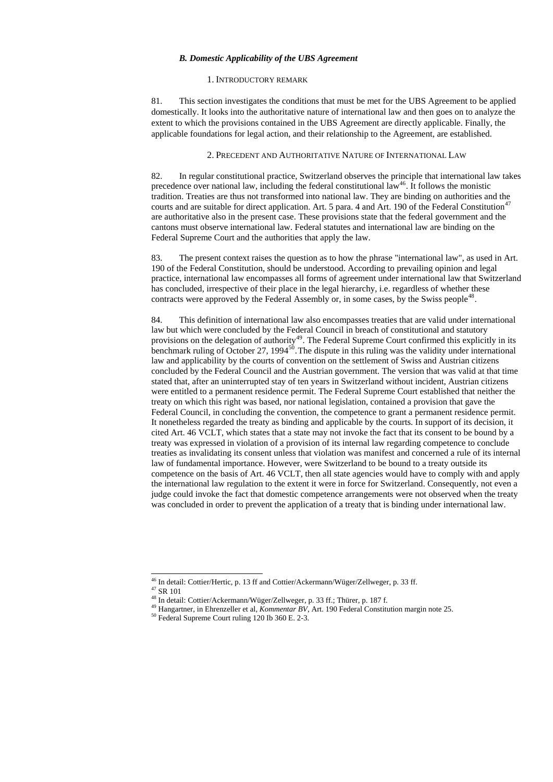#### *B. Domestic Applicability of the UBS Agreement*

#### 1. INTRODUCTORY REMARK

81. This section investigates the conditions that must be met for the UBS Agreement to be applied domestically. It looks into the authoritative nature of international law and then goes on to analyze the extent to which the provisions contained in the UBS Agreement are directly applicable. Finally, the applicable foundations for legal action, and their relationship to the Agreement, are established.

#### 2. PRECEDENT AND AUTHORITATIVE NATURE OF INTERNATIONAL LAW

83. The present context raises the question as to how the phrase "international law", as used in Art. 190 of the Federal Constitution, should be understood. According to prevailing opinion and legal practice, international law encompasses all forms of agreement under international law that Switzerland has concluded, irrespective of their place in the legal hierarchy, i.e. regardless of whether these contracts were approved by the Federal Assembly or, in some cases, by the Swiss people<sup>[48](#page-18-2)</sup>.

82. In regular constitutional practice, Switzerland observes the principle that international law takes precedence over national law, including the federal constitutional law<sup>[46](#page-18-0)</sup>. It follows the monistic tradition. Treaties are thus not transformed into national law. They are binding on authorities and the courts and are suitable for direct application. Art. 5 para. 4 and Art. 190 of the Federal Constitution<sup>[47](#page-18-1)</sup> are authoritative also in the present case. These provisions state that the federal government and the cantons must observe international law. Federal statutes and international law are binding on the Federal Supreme Court and the authorities that apply the law.

84. This definition of international law also encompasses treaties that are valid under international law but which were concluded by the Federal Council in breach of constitutional and statutory provisions on the delegation of authority<sup>[49](#page-18-3)</sup>. The Federal Supreme Court confirmed this explicitly in its benchmark ruling of October 27, 1994 $^{50}$  $^{50}$  $^{50}$ . The dispute in this ruling was the validity under international law and applicability by the courts of convention on the settlement of Swiss and Austrian citizens concluded by the Federal Council and the Austrian government. The version that was valid at that time stated that, after an uninterrupted stay of ten years in Switzerland without incident, Austrian citizens were entitled to a permanent residence permit. The Federal Supreme Court established that neither the treaty on which this right was based, nor national legislation, contained a provision that gave the Federal Council, in concluding the convention, the competence to grant a permanent residence permit. It nonetheless regarded the treaty as binding and applicable by the courts. In support of its decision, it cited Art. 46 VCLT, which states that a state may not invoke the fact that its consent to be bound by a treaty was expressed in violation of a provision of its internal law regarding competence to conclude treaties as invalidating its consent unless that violation was manifest and concerned a rule of its internal law of fundamental importance. However, were Switzerland to be bound to a treaty outside its competence on the basis of Art. 46 VCLT, then all state agencies would have to comply with and apply the international law regulation to the extent it were in force for Switzerland. Consequently, not even a judge could invoke the fact that domestic competence arrangements were not observed when the treaty was concluded in order to prevent the application of a treaty that is binding under international law.

 $\overline{a}$ 

47 SR 101

48 In detail: Cottier/Ackermann/Wüger/Zellweger, p. 33 ff.; Thürer, p. 187 f.

49 Hangartner, in Ehrenzeller et al, *Kommentar BV*, Art. 190 Federal Constitution margin note 25.

<span id="page-18-4"></span><span id="page-18-3"></span><span id="page-18-2"></span><span id="page-18-1"></span><span id="page-18-0"></span>50 Federal Supreme Court ruling 120 Ib 360 E. 2-3.

 $46$  In detail: Cottier/Hertic, p. 13 ff and Cottier/Ackermann/Wüger/Zellweger, p. 33 ff.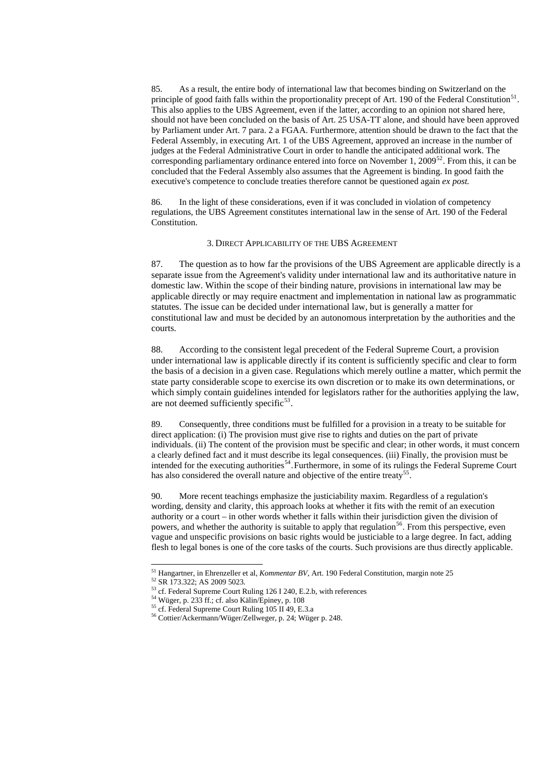85. As a result, the entire body of international law that becomes binding on Switzerland on the principle of good faith falls within the proportionality precept of Art. 190 of the Federal Constitution<sup>[51](#page-19-0)</sup>. This also applies to the UBS Agreement, even if the latter, according to an opinion not shared here, should not have been concluded on the basis of Art. 25 USA-TT alone, and should have been approved by Parliament under Art. 7 para. 2 a FGAA. Furthermore, attention should be drawn to the fact that the Federal Assembly, in executing Art. 1 of the UBS Agreement, approved an increase in the number of judges at the Federal Administrative Court in order to handle the anticipated additional work. The corresponding parliamentary ordinance entered into force on November 1, 2009<sup>[52](#page-19-1)</sup>. From this, it can be concluded that the Federal Assembly also assumes that the Agreement is binding. In good faith the executive's competence to conclude treaties therefore cannot be questioned again *ex post.*

88. According to the consistent legal precedent of the Federal Supreme Court, a provision under international law is applicable directly if its content is sufficiently specific and clear to form the basis of a decision in a given case. Regulations which merely outline a matter, which permit the state party considerable scope to exercise its own discretion or to make its own determinations, or which simply contain guidelines intended for legislators rather for the authorities applying the law, are not deemed sufficiently specific $53$ .

86. In the light of these considerations, even if it was concluded in violation of competency regulations, the UBS Agreement constitutes international law in the sense of Art. 190 of the Federal Constitution.

89. Consequently, three conditions must be fulfilled for a provision in a treaty to be suitable for direct application: (i) The provision must give rise to rights and duties on the part of private individuals. (ii) The content of the provision must be specific and clear; in other words, it must concern a clearly defined fact and it must describe its legal consequences. (iii) Finally, the provision must be intended for the executing authorities<sup>[54](#page-19-3)</sup>. Furthermore, in some of its rulings the Federal Supreme Court has also considered the overall nature and objective of the entire treaty<sup>[55](#page-19-4)</sup>.

#### 3. DIRECT APPLICABILITY OF THE UBS AGREEMENT

87. The question as to how far the provisions of the UBS Agreement are applicable directly is a separate issue from the Agreement's validity under international law and its authoritative nature in domestic law. Within the scope of their binding nature, provisions in international law may be applicable directly or may require enactment and implementation in national law as programmatic statutes. The issue can be decided under international law, but is generally a matter for constitutional law and must be decided by an autonomous interpretation by the authorities and the courts.

cf. Federal Supreme Court Ruling 126 I 240, E.2.b, with references 54 Wüger, p. 233 ff.; cf. also Kälin/Epiney, p. 108

90. More recent teachings emphasize the justiciability maxim. Regardless of a regulation's wording, density and clarity, this approach looks at whether it fits with the remit of an execution authority or a court – in other words whether it falls within their jurisdiction given the division of powers, and whether the authority is suitable to apply that regulation<sup>[56](#page-19-5)</sup>. From this perspective, even vague and unspecific provisions on basic rights would be justiciable to a large degree. In fact, adding flesh to legal bones is one of the core tasks of the courts. Such provisions are thus directly applicable.

 $\overline{a}$ 

55 cf. Federal Supreme Court Ruling 105 II 49, E.3.a

<span id="page-19-5"></span><span id="page-19-4"></span><span id="page-19-3"></span><span id="page-19-2"></span><span id="page-19-1"></span><span id="page-19-0"></span>56 Cottier/Ackermann/Wüger/Zellweger, p. 24; Wüger p. 248.

<sup>51</sup> Hangartner, in Ehrenzeller et al, *Kommentar BV*, Art. 190 Federal Constitution, margin note 25

<sup>52</sup> SR 173.322; AS 2009 5023.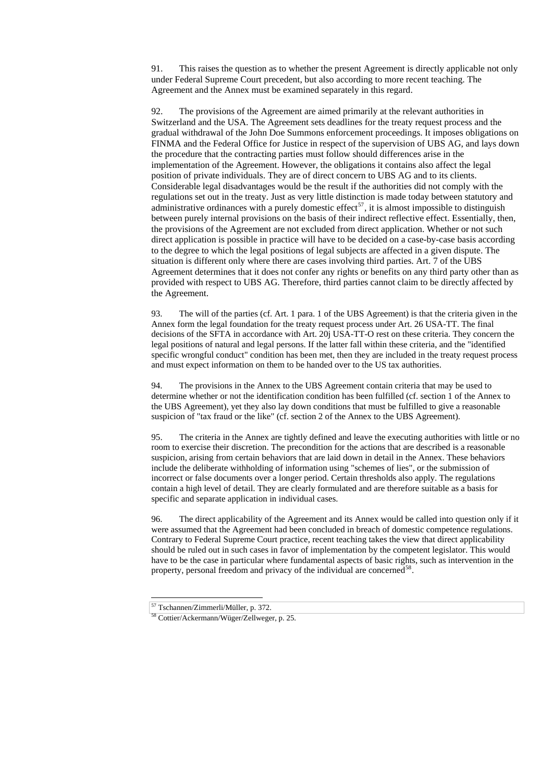91. This raises the question as to whether the present Agreement is directly applicable not only under Federal Supreme Court precedent, but also according to more recent teaching. The Agreement and the Annex must be examined separately in this regard.

92. The provisions of the Agreement are aimed primarily at the relevant authorities in Switzerland and the USA. The Agreement sets deadlines for the treaty request process and the gradual withdrawal of the John Doe Summons enforcement proceedings. It imposes obligations on FINMA and the Federal Office for Justice in respect of the supervision of UBS AG, and lays down the procedure that the contracting parties must follow should differences arise in the implementation of the Agreement. However, the obligations it contains also affect the legal position of private individuals. They are of direct concern to UBS AG and to its clients. Considerable legal disadvantages would be the result if the authorities did not comply with the regulations set out in the treaty. Just as very little distinction is made today between statutory and administrative ordinances with a purely domestic effect<sup>[57](#page-20-0)</sup>, it is almost impossible to distinguish between purely internal provisions on the basis of their indirect reflective effect. Essentially, then, the provisions of the Agreement are not excluded from direct application. Whether or not such direct application is possible in practice will have to be decided on a case-by-case basis according to the degree to which the legal positions of legal subjects are affected in a given dispute. The situation is different only where there are cases involving third parties. Art. 7 of the UBS Agreement determines that it does not confer any rights or benefits on any third party other than as provided with respect to UBS AG. Therefore, third parties cannot claim to be directly affected by the Agreement.

96. The direct applicability of the Agreement and its Annex would be called into question only if it were assumed that the Agreement had been concluded in breach of domestic competence regulations. Contrary to Federal Supreme Court practice, recent teaching takes the view that direct applicability should be ruled out in such cases in favor of implementation by the competent legislator. This would have to be the case in particular where fundamental aspects of basic rights, such as intervention in the property, personal freedom and privacy of the individual are concerned<sup>[58](#page-20-1)</sup>.

93. The will of the parties (cf. Art. 1 para. 1 of the UBS Agreement) is that the criteria given in the Annex form the legal foundation for the treaty request process under Art. 26 USA-TT. The final decisions of the SFTA in accordance with Art. 20j USA-TT-O rest on these criteria. They concern the legal positions of natural and legal persons. If the latter fall within these criteria, and the "identified specific wrongful conduct" condition has been met, then they are included in the treaty request process and must expect information on them to be handed over to the US tax authorities.

94. The provisions in the Annex to the UBS Agreement contain criteria that may be used to determine whether or not the identification condition has been fulfilled (cf. section 1 of the Annex to the UBS Agreement), yet they also lay down conditions that must be fulfilled to give a reasonable suspicion of "tax fraud or the like" (cf. section 2 of the Annex to the UBS Agreement).

95. The criteria in the Annex are tightly defined and leave the executing authorities with little or no room to exercise their discretion. The precondition for the actions that are described is a reasonable suspicion, arising from certain behaviors that are laid down in detail in the Annex. These behaviors include the deliberate withholding of information using "schemes of lies", or the submission of incorrect or false documents over a longer period. Certain thresholds also apply. The regulations contain a high level of detail. They are clearly formulated and are therefore suitable as a basis for specific and separate application in individual cases.

57 Tschannen/Zimmerli/Müller, p. 372.

-

<span id="page-20-1"></span><span id="page-20-0"></span>58 Cottier/Ackermann/Wüger/Zellweger, p. 25.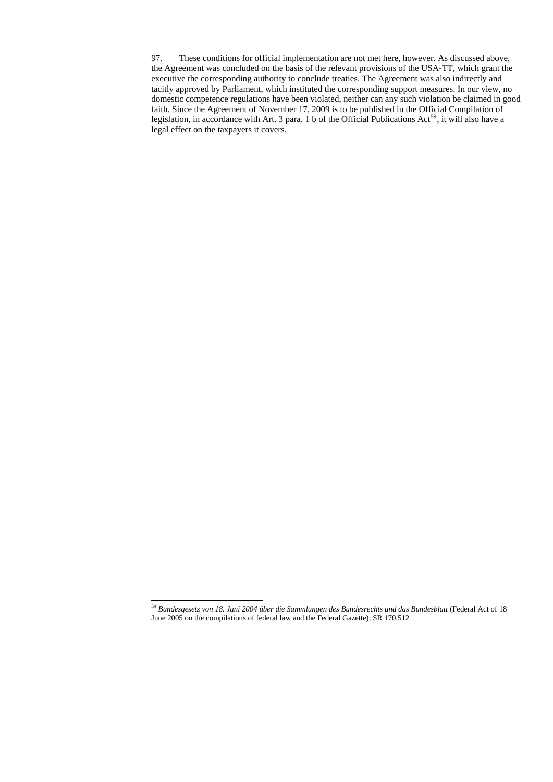97. These conditions for official implementation are not met here, however. As discussed above, the Agreement was concluded on the basis of the relevant provisions of the USA-TT, which grant the executive the corresponding authority to conclude treaties. The Agreement was also indirectly and tacitly approved by Parliament, which instituted the corresponding support measures. In our view, no domestic competence regulations have been violated, neither can any such violation be claimed in good faith. Since the Agreement of November 17, 2009 is to be published in the Official Compilation of legislation, in accordance with Art. 3 para. 1 b of the Official Publications Act<sup>[59](#page-21-0)</sup>, it will also have a legal effect on the taxpayers it covers.

-

<span id="page-21-0"></span><sup>59</sup> *Bundesgesetz von 18. Juni 2004 über die Sammlungen des Bundesrechts und das Bundesblatt* (Federal Act of 18 June 2005 on the compilations of federal law and the Federal Gazette); SR 170.512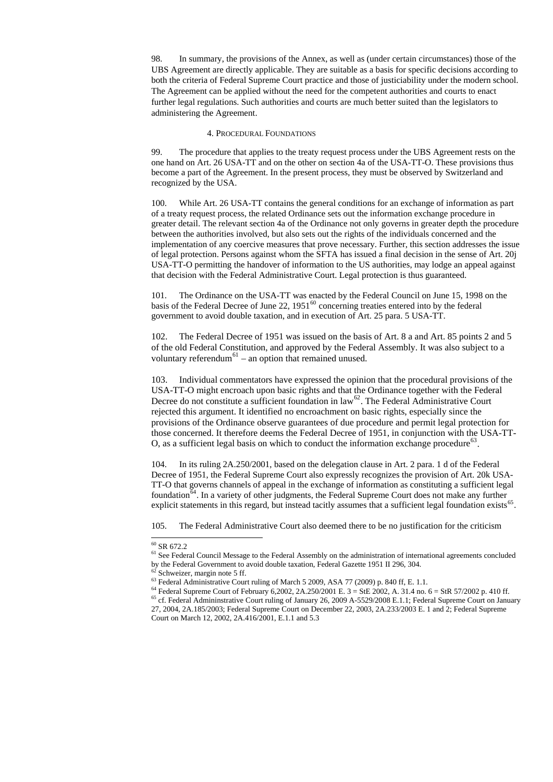98. In summary, the provisions of the Annex, as well as (under certain circumstances) those of the UBS Agreement are directly applicable. They are suitable as a basis for specific decisions according to both the criteria of Federal Supreme Court practice and those of justiciability under the modern school. The Agreement can be applied without the need for the competent authorities and courts to enact further legal regulations. Such authorities and courts are much better suited than the legislators to administering the Agreement.

#### 4. PROCEDURAL FOUNDATIONS

99. The procedure that applies to the treaty request process under the UBS Agreement rests on the one hand on Art. 26 USA-TT and on the other on section 4a of the USA-TT-O. These provisions thus become a part of the Agreement. In the present process, they must be observed by Switzerland and recognized by the USA.

102. The Federal Decree of 1951 was issued on the basis of Art. 8 a and Art. 85 points 2 and 5 of the old Federal Constitution, and approved by the Federal Assembly. It was also subject to a voluntary referendum<sup>[61](#page-22-1)</sup> – an option that remained unused.

103. Individual commentators have expressed the opinion that the procedural provisions of the USA-TT-O might encroach upon basic rights and that the Ordinance together with the Federal Decree do not constitute a sufficient foundation in  $law^{62}$  $law^{62}$  $law^{62}$ . The Federal Administrative Court rejected this argument. It identified no encroachment on basic rights, especially since the provisions of the Ordinance observe guarantees of due procedure and permit legal protection for those concerned. It therefore deems the Federal Decree of 1951, in conjunction with the USA-TT-O, as a sufficient legal basis on which to conduct the information exchange procedure<sup>[63](#page-22-3)</sup>.

100. While Art. 26 USA-TT contains the general conditions for an exchange of information as part of a treaty request process, the related Ordinance sets out the information exchange procedure in greater detail. The relevant section 4a of the Ordinance not only governs in greater depth the procedure between the authorities involved, but also sets out the rights of the individuals concerned and the implementation of any coercive measures that prove necessary. Further, this section addresses the issue of legal protection. Persons against whom the SFTA has issued a final decision in the sense of Art. 20j USA-TT-O permitting the handover of information to the US authorities, may lodge an appeal against that decision with the Federal Administrative Court. Legal protection is thus guaranteed.

104. In its ruling 2A.250/2001, based on the delegation clause in Art. 2 para. 1 d of the Federal Decree of 1951, the Federal Supreme Court also expressly recognizes the provision of Art. 20k USA-TT-O that governs channels of appeal in the exchange of information as constituting a sufficient legal foundation<sup>[64](#page-22-4)</sup>. In a variety of other judgments, the Federal Supreme Court does not make any further explicit statements in this regard, but instead tacitly assumes that a sufficient legal foundation exists  $65$ .

101. The Ordinance on the USA-TT was enacted by the Federal Council on June 15, 1998 on the basis of the Federal Decree of June 22,  $1951^{60}$  $1951^{60}$  $1951^{60}$  concerning treaties entered into by the federal government to avoid double taxation, and in execution of Art. 25 para. 5 USA-TT.

<sup>64</sup> Federal Supreme Court of February 6,2002, 2A.250/2001 E.  $3 =$  StE 2002, A. 31.4 no.  $6 =$  StR 57/2002 p. 410 ff.  $65$  cf. Federal Admininstrative Court ruling of January 26, 2009 A-5529/2008 E.1.1; Federal Supreme Court on January 27, 2004, 2A.185/2003; Federal Supreme Court on December 22, 2003, 2A.233/2003 E. 1 and 2; Federal Supreme Court on March 12, 2002, 2A.416/2001, E.1.1 and 5.3

105. The Federal Administrative Court also deemed there to be no justification for the criticism

 $\overline{a}$ 

 $61$  See Federal Council Message to the Federal Assembly on the administration of international agreements concluded by the Federal Government to avoid double taxation, Federal Gazette 1951 II 296, 304.

 $62$  Schweizer, margin note 5 ff.

 $^{63}$  Federal Administrative Court ruling of March 5 2009, ASA 77 (2009) p. 840 ff, E. 1.1.

<span id="page-22-5"></span><span id="page-22-4"></span><span id="page-22-3"></span><span id="page-22-2"></span><span id="page-22-1"></span><span id="page-22-0"></span>

 $60$  SR 672.2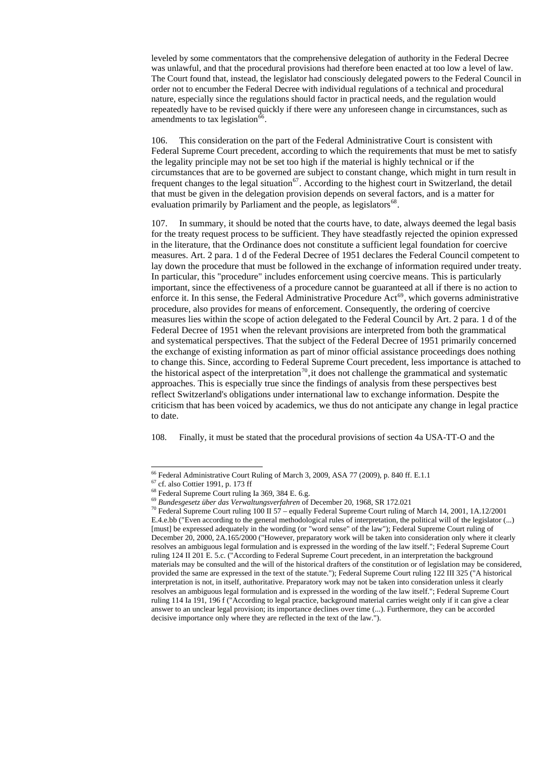leveled by some commentators that the comprehensive delegation of authority in the Federal Decree was unlawful, and that the procedural provisions had therefore been enacted at too low a level of law. The Court found that, instead, the legislator had consciously delegated powers to the Federal Council in order not to encumber the Federal Decree with individual regulations of a technical and procedural nature, especially since the regulations should factor in practical needs, and the regulation would repeatedly have to be revised quickly if there were any unforeseen change in circumstances, such as amendments to tax legislation $^{66}$  $^{66}$  $^{66}$ .

106. This consideration on the part of the Federal Administrative Court is consistent with Federal Supreme Court precedent, according to which the requirements that must be met to satisfy the legality principle may not be set too high if the material is highly technical or if the circumstances that are to be governed are subject to constant change, which might in turn result in frequent changes to the legal situation<sup>[67](#page-23-1)</sup>. According to the highest court in Switzerland, the detail that must be given in the delegation provision depends on several factors, and is a matter for evaluation primarily by Parliament and the people, as legislators<sup>[68](#page-23-2)</sup>.

107. In summary, it should be noted that the courts have, to date, always deemed the legal basis for the treaty request process to be sufficient. They have steadfastly rejected the opinion expressed in the literature, that the Ordinance does not constitute a sufficient legal foundation for coercive measures. Art. 2 para. 1 d of the Federal Decree of 1951 declares the Federal Council competent to lay down the procedure that must be followed in the exchange of information required under treaty. In particular, this "procedure" includes enforcement using coercive means. This is particularly important, since the effectiveness of a procedure cannot be guaranteed at all if there is no action to enforce it. In this sense, the Federal Administrative Procedure  $Act^{69}$  $Act^{69}$  $Act^{69}$ , which governs administrative procedure, also provides for means of enforcement. Consequently, the ordering of coercive measures lies within the scope of action delegated to the Federal Council by Art. 2 para. 1 d of the Federal Decree of 1951 when the relevant provisions are interpreted from both the grammatical and systematical perspectives. That the subject of the Federal Decree of 1951 primarily concerned the exchange of existing information as part of minor official assistance proceedings does nothing to change this. Since, according to Federal Supreme Court precedent, less importance is attached to the historical aspect of the interpretation<sup>[70](#page-23-4)</sup>, it does not challenge the grammatical and systematic approaches. This is especially true since the findings of analysis from these perspectives best reflect Switzerland's obligations under international law to exchange information. Despite the criticism that has been voiced by academics, we thus do not anticipate any change in legal practice to date.

108. Finally, it must be stated that the procedural provisions of section 4a USA-TT-O and the

 $\overline{a}$ 

<span id="page-23-4"></span><span id="page-23-3"></span><span id="page-23-2"></span><span id="page-23-1"></span><span id="page-23-0"></span>resolves an ambiguous legal formulation and is expressed in the wording of the law itself."; Federal Supreme Court ruling 114 Ia 191, 196 f ("According to legal practice, background material carries weight only if it can give a clear answer to an unclear legal provision; its importance declines over time (...). Furthermore, they can be accorded decisive importance only where they are reflected in the text of the law.").

<sup>&</sup>lt;sup>70</sup> Federal Supreme Court ruling 100 II 57 – equally Federal Supreme Court ruling of March 14, 2001, 1A.12/2001 E.4.e.bb ("Even according to the general methodological rules of interpretation, the political will of the legislator (...) [must] be expressed adequately in the wording (or "word sense" of the law"); Federal Supreme Court ruling of December 20, 2000, 2A.165/2000 ("However, preparatory work will be taken into consideration only where it clearly resolves an ambiguous legal formulation and is expressed in the wording of the law itself."; Federal Supreme Court ruling 124 II 201 E. 5.c. ("According to Federal Supreme Court precedent, in an interpretation the background materials may be consulted and the will of the historical drafters of the constitution or of legislation may be considered, provided the same are expressed in the text of the statute."); Federal Supreme Court ruling 122 III 325 ("A historical interpretation is not, in itself, authoritative. Preparatory work may not be taken into consideration unless it clearly

<sup>&</sup>lt;sup>66</sup> Federal Administrative Court Ruling of March 3, 2009, ASA 77 (2009), p. 840 ff. E.1.1

 $67$  cf. also Cottier 1991, p. 173 ff

<sup>&</sup>lt;sup>68</sup> Federal Supreme Court ruling Ia 369, 384 E. 6.g.

<sup>69</sup> *Bundesgesetz über das Verwaltungsverfahren* of December 20, 1968, SR 172.021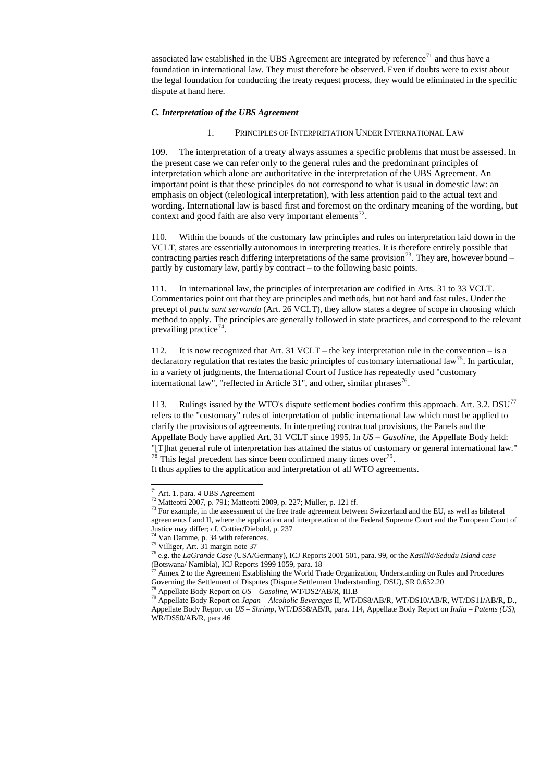associated law established in the UBS Agreement are integrated by reference<sup>[71](#page-24-0)</sup> and thus have a foundation in international law. They must therefore be observed. Even if doubts were to exist about the legal foundation for conducting the treaty request process, they would be eliminated in the specific dispute at hand here.

109. The interpretation of a treaty always assumes a specific problems that must be assessed. In the present case we can refer only to the general rules and the predominant principles of interpretation which alone are authoritative in the interpretation of the UBS Agreement. An important point is that these principles do not correspond to what is usual in domestic law: an emphasis on object (teleological interpretation), with less attention paid to the actual text and wording. International law is based first and foremost on the ordinary meaning of the wording, but context and good faith are also very important elements<sup>[72](#page-24-1)</sup>.

#### *C. Interpretation of the UBS Agreement*

### 1. PRINCIPLES OF INTERPRETATION UNDER INTERNATIONAL LAW

111. In international law, the principles of interpretation are codified in Arts. 31 to 33 VCLT. Commentaries point out that they are principles and methods, but not hard and fast rules. Under the precept of *pacta sunt servanda* (Art. 26 VCLT), they allow states a degree of scope in choosing which method to apply. The principles are generally followed in state practices, and correspond to the relevant prevailing practice<sup>[74](#page-24-3)</sup>.

112. It is now recognized that Art. 31 VCLT – the key interpretation rule in the convention – is a declaratory regulation that restates the basic principles of customary international law<sup>[75](#page-24-4)</sup>. In particular, in a variety of judgments, the International Court of Justice has repeatedly used "customary international law", "reflected in Article 31", and other, similar phrases<sup>[76](#page-24-5)</sup>.

113. Rulings issued by the WTO's dispute settlement bodies confirm this approach. Art. 3.2. DSU<sup>[77](#page-24-6)</sup> refers to the "customary" rules of interpretation of public international law which must be applied to clarify the provisions of agreements. In interpreting contractual provisions, the Panels and the Appellate Body have applied Art. 31 VCLT since 1995. In *US – Gasoline,* the Appellate Body held: "[T]hat general rule of interpretation has attained the status of customary or general international law."  $^{78}$  $^{78}$  $^{78}$  This legal precedent has since been confirmed many times over  $^{79}$  $^{79}$  $^{79}$ .

110. Within the bounds of the customary law principles and rules on interpretation laid down in the VCLT, states are essentially autonomous in interpreting treaties. It is therefore entirely possible that contracting parties reach differing interpretations of the same provision<sup>[73](#page-24-2)</sup>. They are, however bound – partly by customary law, partly by contract – to the following basic points.

It thus applies to the application and interpretation of all WTO agreements.

 $\overline{a}$ 

78 Appellate Body Report on *US – Gasoline*, WT/DS2/AB/R, III.B

<span id="page-24-8"></span><span id="page-24-7"></span><span id="page-24-6"></span><span id="page-24-5"></span><span id="page-24-4"></span><span id="page-24-3"></span><span id="page-24-2"></span><span id="page-24-1"></span><span id="page-24-0"></span>79 Appellate Body Report on *Japan – Alcoholic Beverages* II, WT/DS8/AB/R, WT/DS10/AB/R, WT/DS11/AB/R, D., Appellate Body Report on *US – Shrimp*, WT/DS58/AB/R, para. 114, Appellate Body Report on *India – Patents (US),* WR/DS50/AB/R, para.46

 $^{73}$  For example, in the assessment of the free trade agreement between Switzerland and the EU, as well as bilateral agreements I and II, where the application and interpretation of the Federal Supreme Court and the European Court of Justice may differ; cf. Cottier/Diebold, p. 237

 $74$  Van Damme, p. 34 with references.

 $77$  Annex 2 to the Agreement Establishing the World Trade Organization, Understanding on Rules and Procedures Governing the Settlement of Disputes (Dispute Settlement Understanding, DSU), SR 0.632.20

<sup>71</sup> Art. 1. para. 4 UBS Agreement

<sup>72</sup> Matteotti 2007, p. 791; Matteotti 2009, p. 227; Müller, p. 121 ff.

<sup>75</sup> Villiger, Art. 31 margin note 37

<sup>76</sup> e.g. the *LaGrande Case* (USA/Germany), ICJ Reports 2001 501, para. 99, or the *Kasiliki/Sedudu Island case* (Botswana/ Namibia), ICJ Reports 1999 1059, para. 18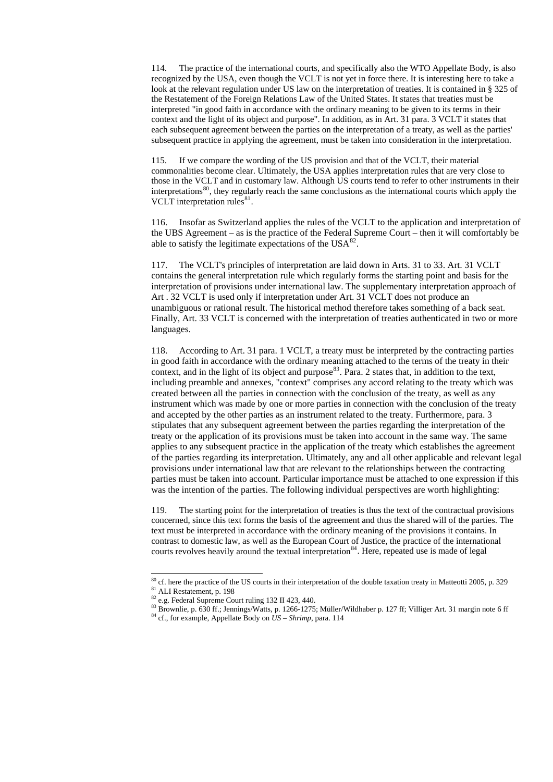114. The practice of the international courts, and specifically also the WTO Appellate Body, is also recognized by the USA, even though the VCLT is not yet in force there. It is interesting here to take a look at the relevant regulation under US law on the interpretation of treaties. It is contained in § 325 of the Restatement of the Foreign Relations Law of the United States. It states that treaties must be interpreted "in good faith in accordance with the ordinary meaning to be given to its terms in their context and the light of its object and purpose". In addition, as in Art. 31 para. 3 VCLT it states that each subsequent agreement between the parties on the interpretation of a treaty, as well as the parties' subsequent practice in applying the agreement, must be taken into consideration in the interpretation.

115. If we compare the wording of the US provision and that of the VCLT, their material commonalities become clear. Ultimately, the USA applies interpretation rules that are very close to those in the VCLT and in customary law. Although US courts tend to refer to other instruments in their interpretations<sup>[80](#page-25-0)</sup>, they regularly reach the same conclusions as the international courts which apply the VCLT interpretation rules $^{81}$  $^{81}$  $^{81}$ .

116. Insofar as Switzerland applies the rules of the VCLT to the application and interpretation of the UBS Agreement – as is the practice of the Federal Supreme Court – then it will comfortably be able to satisfy the legitimate expectations of the  $USA^{82}$  $USA^{82}$  $USA^{82}$ .

119. The starting point for the interpretation of treaties is thus the text of the contractual provisions concerned, since this text forms the basis of the agreement and thus the shared will of the parties. The text must be interpreted in accordance with the ordinary meaning of the provisions it contains. In contrast to domestic law, as well as the European Court of Justice, the practice of the international courts revolves heavily around the textual interpretation<sup>[84](#page-25-4)</sup>. Here, repeated use is made of legal

ALI Restatement, p. 198

 $\overline{a}$ 

117. The VCLT's principles of interpretation are laid down in Arts. 31 to 33. Art. 31 VCLT contains the general interpretation rule which regularly forms the starting point and basis for the interpretation of provisions under international law. The supplementary interpretation approach of Art . 32 VCLT is used only if interpretation under Art. 31 VCLT does not produce an unambiguous or rational result. The historical method therefore takes something of a back seat. Finally, Art. 33 VCLT is concerned with the interpretation of treaties authenticated in two or more languages.

118. According to Art. 31 para. 1 VCLT, a treaty must be interpreted by the contracting parties in good faith in accordance with the ordinary meaning attached to the terms of the treaty in their context, and in the light of its object and purpose<sup>[83](#page-25-3)</sup>. Para. 2 states that, in addition to the text, including preamble and annexes, "context" comprises any accord relating to the treaty which was created between all the parties in connection with the conclusion of the treaty, as well as any instrument which was made by one or more parties in connection with the conclusion of the treaty and accepted by the other parties as an instrument related to the treaty. Furthermore, para. 3 stipulates that any subsequent agreement between the parties regarding the interpretation of the treaty or the application of its provisions must be taken into account in the same way. The same applies to any subsequent practice in the application of the treaty which establishes the agreement of the parties regarding its interpretation. Ultimately, any and all other applicable and relevant legal provisions under international law that are relevant to the relationships between the contracting parties must be taken into account. Particular importance must be attached to one expression if this was the intention of the parties. The following individual perspectives are worth highlighting:

82 e.g. Federal Supreme Court ruling 132 II 423, 440.

<sup>83</sup> Brownlie, p. 630 ff.; Jennings/Watts, p. 1266-1275; Müller/Wildhaber p. 127 ff; Villiger Art. 31 margin note 6 ff

<span id="page-25-4"></span><span id="page-25-3"></span><span id="page-25-2"></span><span id="page-25-1"></span><span id="page-25-0"></span>84 cf., for example, Appellate Body on *US – Shrimp*, para. 114

 $80$  cf. here the practice of the US courts in their interpretation of the double taxation treaty in Matteotti 2005, p. 329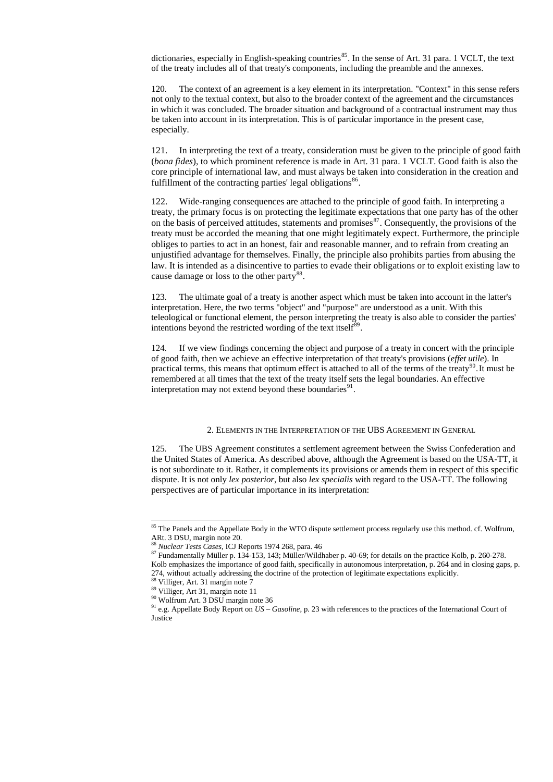dictionaries, especially in English-speaking countries<sup>[85](#page-26-0)</sup>. In the sense of Art. 31 para. 1 VCLT, the text of the treaty includes all of that treaty's components, including the preamble and the annexes.

121. In interpreting the text of a treaty, consideration must be given to the principle of good faith (*bona fides*), to which prominent reference is made in Art. 31 para. 1 VCLT. Good faith is also the core principle of international law, and must always be taken into consideration in the creation and fulfillment of the contracting parties' legal obligations<sup>[86](#page-26-1)</sup>.

120. The context of an agreement is a key element in its interpretation. "Context" in this sense refers not only to the textual context, but also to the broader context of the agreement and the circumstances in which it was concluded. The broader situation and background of a contractual instrument may thus be taken into account in its interpretation. This is of particular importance in the present case, especially.

122. Wide-ranging consequences are attached to the principle of good faith. In interpreting a treaty, the primary focus is on protecting the legitimate expectations that one party has of the other on the basis of perceived attitudes, statements and promises<sup>[87](#page-26-2)</sup>. Consequently, the provisions of the treaty must be accorded the meaning that one might legitimately expect. Furthermore, the principle obliges to parties to act in an honest, fair and reasonable manner, and to refrain from creating an unjustified advantage for themselves. Finally, the principle also prohibits parties from abusing the law. It is intended as a disincentive to parties to evade their obligations or to exploit existing law to cause damage or loss to the other party<sup>[88](#page-26-3)</sup>.

123. The ultimate goal of a treaty is another aspect which must be taken into account in the latter's interpretation. Here, the two terms "object" and "purpose" are understood as a unit. With this teleological or functional element, the person interpreting the treaty is also able to consider the parties' intentions beyond the restricted wording of the text itself<sup>[89](#page-26-4)</sup>.

124. If we view findings concerning the object and purpose of a treaty in concert with the principle of good faith, then we achieve an effective interpretation of that treaty's provisions (*effet utile*). In practical terms, this means that optimum effect is attached to all of the terms of the treaty<sup>[90](#page-26-5)</sup>. It must be remembered at all times that the text of the treaty itself sets the legal boundaries. An effective interpretation may not extend beyond these boundaries $91$ .

2. ELEMENTS IN THE INTERPRETATION OF THE UBS AGREEMENT IN GENERAL

125. The UBS Agreement constitutes a settlement agreement between the Swiss Confederation and the United States of America. As described above, although the Agreement is based on the USA-TT, it is not subordinate to it. Rather, it complements its provisions or amends them in respect of this specific dispute. It is not only *lex posterior*, but also *lex specialis* with regard to the USA-TT. The following perspectives are of particular importance in its interpretation:

 $\overline{a}$ 

89 Villiger, Art 31, margin note 11

90 Wolfrum Art. 3 DSU margin note 36

<span id="page-26-6"></span><span id="page-26-5"></span><span id="page-26-4"></span><span id="page-26-3"></span><span id="page-26-2"></span><span id="page-26-1"></span><span id="page-26-0"></span><sup>91</sup> e.g. Appellate Body Report on *US – Gasoline*, p. 23 with references to the practices of the International Court of **Justice** 

<sup>&</sup>lt;sup>85</sup> The Panels and the Appellate Body in the WTO dispute settlement process regularly use this method. cf. Wolfrum, ARt. 3 DSU, margin note 20.

<sup>86</sup> *Nuclear Tests Cases*, ICJ Reports 1974 268, para. 46

<sup>87</sup> Fundamentally Müller p. 134-153, 143; Müller/Wildhaber p. 40-69; for details on the practice Kolb, p. 260-278. Kolb emphasizes the importance of good faith, specifically in autonomous interpretation, p. 264 and in closing gaps, p. 274, without actually addressing the doctrine of the protection of legitimate expectations explicitly.

<sup>88</sup> Villiger, Art. 31 margin note 7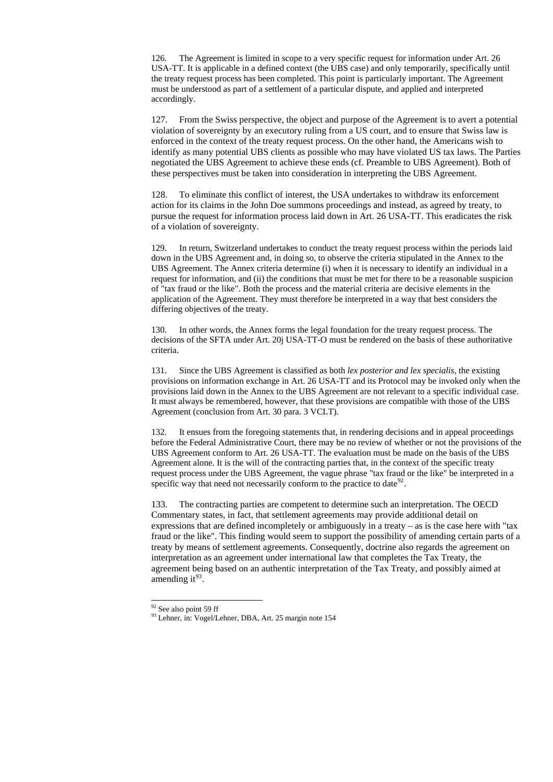126. The Agreement is limited in scope to a very specific request for information under Art. 26 USA-TT. It is applicable in a defined context (the UBS case) and only temporarily, specifically until the treaty request process has been completed. This point is particularly important. The Agreement must be understood as part of a settlement of a particular dispute, and applied and interpreted accordingly.

127. From the Swiss perspective, the object and purpose of the Agreement is to avert a potential violation of sovereignty by an executory ruling from a US court, and to ensure that Swiss law is enforced in the context of the treaty request process. On the other hand, the Americans wish to identify as many potential UBS clients as possible who may have violated US tax laws. The Parties negotiated the UBS Agreement to achieve these ends (cf. Preamble to UBS Agreement). Both of these perspectives must be taken into consideration in interpreting the UBS Agreement.

128. To eliminate this conflict of interest, the USA undertakes to withdraw its enforcement action for its claims in the John Doe summons proceedings and instead, as agreed by treaty, to pursue the request for information process laid down in Art. 26 USA-TT. This eradicates the risk of a violation of sovereignty.

132. It ensues from the foregoing statements that, in rendering decisions and in appeal proceedings before the Federal Administrative Court, there may be no review of whether or not the provisions of the UBS Agreement conform to Art. 26 USA-TT. The evaluation must be made on the basis of the UBS Agreement alone. It is the will of the contracting parties that, in the context of the specific treaty request process under the UBS Agreement, the vague phrase "tax fraud or the like" be interpreted in a specific way that need not necessarily conform to the practice to date  $92$ .

133. The contracting parties are competent to determine such an interpretation. The OECD Commentary states, in fact, that settlement agreements may provide additional detail on expressions that are defined incompletely or ambiguously in a treaty – as is the case here with "tax fraud or the like". This finding would seem to support the possibility of amending certain parts of a treaty by means of settlement agreements. Consequently, doctrine also regards the agreement on interpretation as an agreement under international law that completes the Tax Treaty, the agreement being based on an authentic interpretation of the Tax Treaty, and possibly aimed at amending it $^{93}$  $^{93}$  $^{93}$ .

<sup>92</sup> See also point 59 ff

-

<span id="page-27-1"></span><span id="page-27-0"></span>93 Lehner, in: Vogel/Lehner, DBA, Art. 25 margin note 154

129. In return, Switzerland undertakes to conduct the treaty request process within the periods laid down in the UBS Agreement and, in doing so, to observe the criteria stipulated in the Annex to the UBS Agreement. The Annex criteria determine (i) when it is necessary to identify an individual in a request for information, and (ii) the conditions that must be met for there to be a reasonable suspicion of "tax fraud or the like". Both the process and the material criteria are decisive elements in the application of the Agreement. They must therefore be interpreted in a way that best considers the differing objectives of the treaty.

130. In other words, the Annex forms the legal foundation for the treaty request process. The decisions of the SFTA under Art. 20j USA-TT-O must be rendered on the basis of these authoritative criteria.

131. Since the UBS Agreement is classified as both *lex posterior and lex specialis,* the existing provisions on information exchange in Art. 26 USA-TT and its Protocol may be invoked only when the provisions laid down in the Annex to the UBS Agreement are not relevant to a specific individual case. It must always be remembered, however, that these provisions are compatible with those of the UBS Agreement (conclusion from Art. 30 para. 3 VCLT).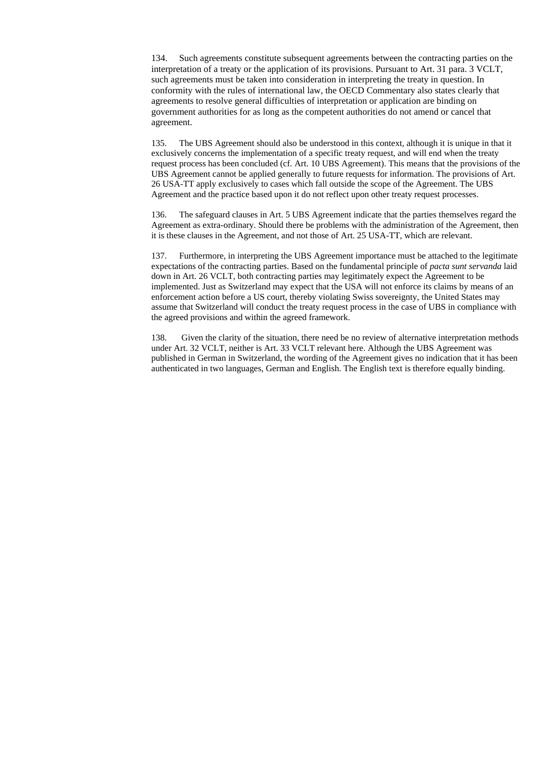134. Such agreements constitute subsequent agreements between the contracting parties on the interpretation of a treaty or the application of its provisions. Pursuant to Art. 31 para. 3 VCLT, such agreements must be taken into consideration in interpreting the treaty in question. In conformity with the rules of international law, the OECD Commentary also states clearly that agreements to resolve general difficulties of interpretation or application are binding on government authorities for as long as the competent authorities do not amend or cancel that agreement.

135. The UBS Agreement should also be understood in this context, although it is unique in that it exclusively concerns the implementation of a specific treaty request, and will end when the treaty request process has been concluded (cf. Art. 10 UBS Agreement). This means that the provisions of the UBS Agreement cannot be applied generally to future requests for information. The provisions of Art. 26 USA-TT apply exclusively to cases which fall outside the scope of the Agreement. The UBS Agreement and the practice based upon it do not reflect upon other treaty request processes.

136. The safeguard clauses in Art. 5 UBS Agreement indicate that the parties themselves regard the Agreement as extra-ordinary. Should there be problems with the administration of the Agreement, then it is these clauses in the Agreement, and not those of Art. 25 USA-TT, which are relevant.

137. Furthermore, in interpreting the UBS Agreement importance must be attached to the legitimate expectations of the contracting parties. Based on the fundamental principle of *pacta sunt servanda* laid down in Art. 26 VCLT, both contracting parties may legitimately expect the Agreement to be implemented. Just as Switzerland may expect that the USA will not enforce its claims by means of an enforcement action before a US court, thereby violating Swiss sovereignty, the United States may assume that Switzerland will conduct the treaty request process in the case of UBS in compliance with the agreed provisions and within the agreed framework.

138. Given the clarity of the situation, there need be no review of alternative interpretation methods under Art. 32 VCLT, neither is Art. 33 VCLT relevant here. Although the UBS Agreement was published in German in Switzerland, the wording of the Agreement gives no indication that it has been authenticated in two languages, German and English. The English text is therefore equally binding.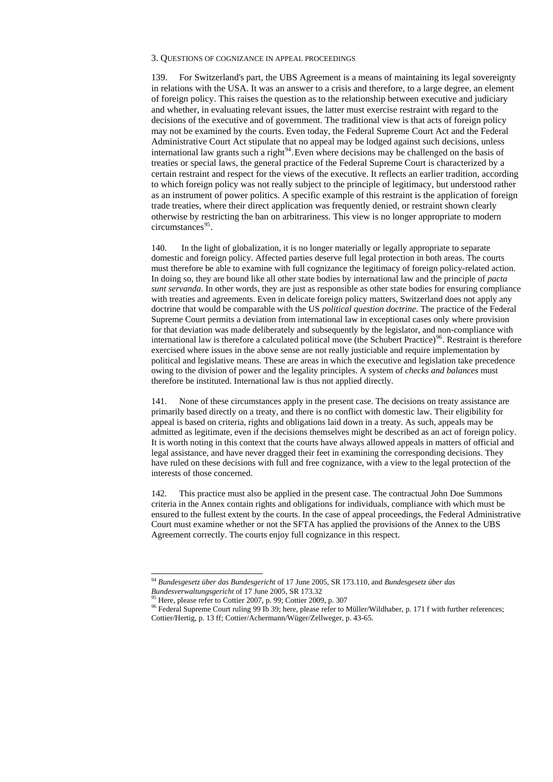#### 3. QUESTIONS OF COGNIZANCE IN APPEAL PROCEEDINGS

139. For Switzerland's part, the UBS Agreement is a means of maintaining its legal sovereignty in relations with the USA. It was an answer to a crisis and therefore, to a large degree, an element of foreign policy. This raises the question as to the relationship between executive and judiciary and whether, in evaluating relevant issues, the latter must exercise restraint with regard to the decisions of the executive and of government. The traditional view is that acts of foreign policy may not be examined by the courts. Even today, the Federal Supreme Court Act and the Federal Administrative Court Act stipulate that no appeal may be lodged against such decisions, unless international law grants such a right<sup>[94](#page-29-0)</sup>. Even where decisions may be challenged on the basis of treaties or special laws, the general practice of the Federal Supreme Court is characterized by a certain restraint and respect for the views of the executive. It reflects an earlier tradition, according to which foreign policy was not really subject to the principle of legitimacy, but understood rather as an instrument of power politics. A specific example of this restraint is the application of foreign trade treaties, where their direct application was frequently denied, or restraint shown clearly otherwise by restricting the ban on arbitrariness. This view is no longer appropriate to modern  $circumstances<sup>95</sup>$  $circumstances<sup>95</sup>$  $circumstances<sup>95</sup>$ .

140. In the light of globalization, it is no longer materially or legally appropriate to separate domestic and foreign policy. Affected parties deserve full legal protection in both areas. The courts must therefore be able to examine with full cognizance the legitimacy of foreign policy-related action. In doing so, they are bound like all other state bodies by international law and the principle of *pacta sunt servanda*. In other words, they are just as responsible as other state bodies for ensuring compliance with treaties and agreements. Even in delicate foreign policy matters, Switzerland does not apply any doctrine that would be comparable with the US *political question doctrine*. The practice of the Federal Supreme Court permits a deviation from international law in exceptional cases only where provision for that deviation was made deliberately and subsequently by the legislator, and non-compliance with international law is therefore a calculated political move (the Schubert Practice)<sup>[96](#page-29-2)</sup>. Restraint is therefore exercised where issues in the above sense are not really justiciable and require implementation by political and legislative means. These are areas in which the executive and legislation take precedence owing to the division of power and the legality principles. A system of *checks and balances* must therefore be instituted. International law is thus not applied directly.

<span id="page-29-2"></span><span id="page-29-1"></span><span id="page-29-0"></span><sup>96</sup> Federal Supreme Court ruling 99 Ib 39; here, please refer to Müller/Wildhaber, p. 171 f with further references; Cottier/Hertig, p. 13 ff; Cottier/Achermann/Wüger/Zellweger, p. 43-65.

141. None of these circumstances apply in the present case. The decisions on treaty assistance are primarily based directly on a treaty, and there is no conflict with domestic law. Their eligibility for appeal is based on criteria, rights and obligations laid down in a treaty. As such, appeals may be admitted as legitimate, even if the decisions themselves might be described as an act of foreign policy. It is worth noting in this context that the courts have always allowed appeals in matters of official and legal assistance, and have never dragged their feet in examining the corresponding decisions. They have ruled on these decisions with full and free cognizance, with a view to the legal protection of the interests of those concerned.

142. This practice must also be applied in the present case. The contractual John Doe Summons criteria in the Annex contain rights and obligations for individuals, compliance with which must be ensured to the fullest extent by the courts. In the case of appeal proceedings, the Federal Administrative Court must examine whether or not the SFTA has applied the provisions of the Annex to the UBS Agreement correctly. The courts enjoy full cognizance in this respect.

*Bundesverwaltungsgericht* of 17 June 2005, SR 173.32

 $\overline{a}$ 

<sup>95</sup> Here, please refer to Cottier 2007, p. 99; Cottier 2009, p. 307

<sup>94</sup> *Bundesgesetz über das Bundesgericht* of 17 June 2005, SR 173.110, and *Bundesgesetz über das*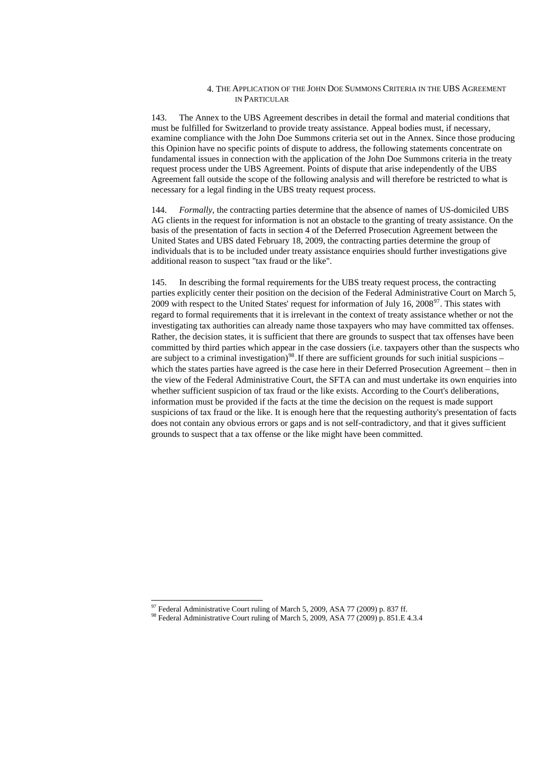#### 4. THE APPLICATION OF THE JOHN DOE SUMMONS CRITERIA IN THE UBS AGREEMENT IN PARTICULAR

143. The Annex to the UBS Agreement describes in detail the formal and material conditions that must be fulfilled for Switzerland to provide treaty assistance. Appeal bodies must, if necessary, examine compliance with the John Doe Summons criteria set out in the Annex. Since those producing this Opinion have no specific points of dispute to address, the following statements concentrate on fundamental issues in connection with the application of the John Doe Summons criteria in the treaty request process under the UBS Agreement. Points of dispute that arise independently of the UBS Agreement fall outside the scope of the following analysis and will therefore be restricted to what is necessary for a legal finding in the UBS treaty request process.

144. *Formally,* the contracting parties determine that the absence of names of US-domiciled UBS AG clients in the request for information is not an obstacle to the granting of treaty assistance. On the basis of the presentation of facts in section 4 of the Deferred Prosecution Agreement between the United States and UBS dated February 18, 2009, the contracting parties determine the group of individuals that is to be included under treaty assistance enquiries should further investigations give additional reason to suspect "tax fraud or the like".

<span id="page-30-1"></span><span id="page-30-0"></span> $97$  Federal Administrative Court ruling of March 5, 2009, ASA 77 (2009) p. 837 ff. 98 Federal Administrative Court ruling of March 5, 2009, ASA 77 (2009) p. 851.E 4.3.4

-

145. In describing the formal requirements for the UBS treaty request process, the contracting parties explicitly center their position on the decision of the Federal Administrative Court on March 5, 2009 with respect to the United States' request for information of July 16,  $2008^{\circ}$ . This states with regard to formal requirements that it is irrelevant in the context of treaty assistance whether or not the investigating tax authorities can already name those taxpayers who may have committed tax offenses. Rather, the decision states, it is sufficient that there are grounds to suspect that tax offenses have been committed by third parties which appear in the case dossiers (i.e. taxpayers other than the suspects who are subject to a criminal investigation)<sup>[98](#page-30-1)</sup>. If there are sufficient grounds for such initial suspicions – which the states parties have agreed is the case here in their Deferred Prosecution Agreement – then in the view of the Federal Administrative Court, the SFTA can and must undertake its own enquiries into whether sufficient suspicion of tax fraud or the like exists. According to the Court's deliberations, information must be provided if the facts at the time the decision on the request is made support suspicions of tax fraud or the like. It is enough here that the requesting authority's presentation of facts does not contain any obvious errors or gaps and is not self-contradictory, and that it gives sufficient grounds to suspect that a tax offense or the like might have been committed.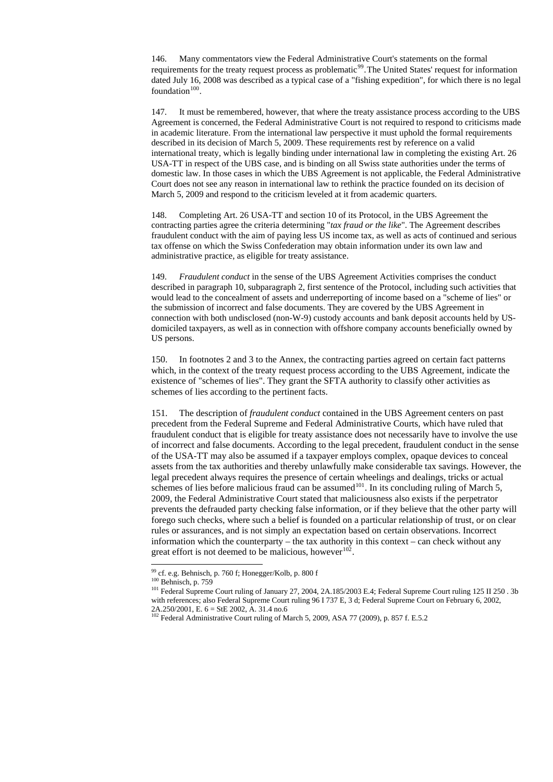146. Many commentators view the Federal Administrative Court's statements on the formal requirements for the treaty request process as problematic<sup>[99](#page-31-0)</sup>. The United States' request for information dated July 16, 2008 was described as a typical case of a "fishing expedition", for which there is no legal foundation $100$ .

147. It must be remembered, however, that where the treaty assistance process according to the UBS Agreement is concerned, the Federal Administrative Court is not required to respond to criticisms made in academic literature. From the international law perspective it must uphold the formal requirements described in its decision of March 5, 2009. These requirements rest by reference on a valid international treaty, which is legally binding under international law in completing the existing Art. 26 USA-TT in respect of the UBS case, and is binding on all Swiss state authorities under the terms of domestic law. In those cases in which the UBS Agreement is not applicable, the Federal Administrative Court does not see any reason in international law to rethink the practice founded on its decision of March 5, 2009 and respond to the criticism leveled at it from academic quarters.

151. The description of *fraudulent conduct* contained in the UBS Agreement centers on past precedent from the Federal Supreme and Federal Administrative Courts, which have ruled that fraudulent conduct that is eligible for treaty assistance does not necessarily have to involve the use of incorrect and false documents. According to the legal precedent, fraudulent conduct in the sense of the USA-TT may also be assumed if a taxpayer employs complex, opaque devices to conceal assets from the tax authorities and thereby unlawfully make considerable tax savings. However, the legal precedent always requires the presence of certain wheelings and dealings, tricks or actual schemes of lies before malicious fraud can be assumed  $101$ . In its concluding ruling of March 5, 2009, the Federal Administrative Court stated that maliciousness also exists if the perpetrator prevents the defrauded party checking false information, or if they believe that the other party will forego such checks, where such a belief is founded on a particular relationship of trust, or on clear rules or assurances, and is not simply an expectation based on certain observations. Incorrect information which the counterparty – the tax authority in this context – can check without any great effort is not deemed to be malicious, however<sup>[102](#page-31-3)</sup>.

148. Completing Art. 26 USA-TT and section 10 of its Protocol, in the UBS Agreement the contracting parties agree the criteria determining "*tax fraud or the like*". The Agreement describes fraudulent conduct with the aim of paying less US income tax, as well as acts of continued and serious tax offense on which the Swiss Confederation may obtain information under its own law and administrative practice, as eligible for treaty assistance.

149. *Fraudulent conduct* in the sense of the UBS Agreement Activities comprises the conduct described in paragraph 10, subparagraph 2, first sentence of the Protocol, including such activities that would lead to the concealment of assets and underreporting of income based on a "scheme of lies" or the submission of incorrect and false documents. They are covered by the UBS Agreement in connection with both undisclosed (non-W-9) custody accounts and bank deposit accounts held by USdomiciled taxpayers, as well as in connection with offshore company accounts beneficially owned by US persons.

<sup>101</sup> Federal Supreme Court ruling of January 27, 2004, 2A.185/2003 E.4; Federal Supreme Court ruling 125 II 250. 3b with references; also Federal Supreme Court ruling 96 I 737 E, 3 d; Federal Supreme Court on February 6, 2002, 2A.250/2001, E. 6 = StE 2002, A. 31.4 no.6

<span id="page-31-3"></span><span id="page-31-2"></span><span id="page-31-1"></span><span id="page-31-0"></span> $102$  Federal Administrative Court ruling of March 5, 2009, ASA 77 (2009), p. 857 f. E.5.2

150. In footnotes 2 and 3 to the Annex, the contracting parties agreed on certain fact patterns which, in the context of the treaty request process according to the UBS Agreement, indicate the existence of "schemes of lies". They grant the SFTA authority to classify other activities as schemes of lies according to the pertinent facts.

 $\overline{a}$ 

<sup>99</sup> cf. e.g. Behnisch, p. 760 f; Honegger/Kolb, p. 800 f

<sup>100</sup> Behnisch, p. 759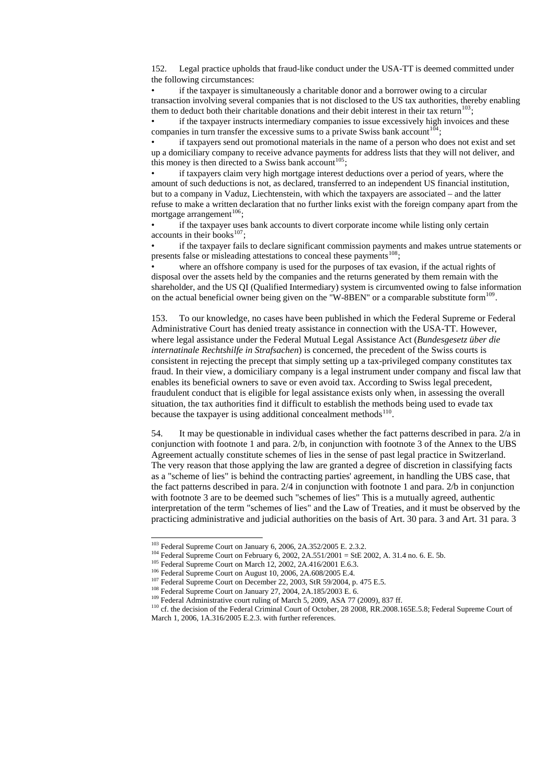152. Legal practice upholds that fraud-like conduct under the USA-TT is deemed committed under the following circumstances:

• if the taxpayer is simultaneously a charitable donor and a borrower owing to a circular transaction involving several companies that is not disclosed to the US tax authorities, thereby enabling them to deduct both their charitable donations and their debit interest in their tax return<sup>[103](#page-32-0)</sup>;

if the taxpayer instructs intermediary companies to issue excessively high invoices and these companies in turn transfer the excessive sums to a private Swiss bank account  $104$ ;

• if taxpayers send out promotional materials in the name of a person who does not exist and set up a domiciliary company to receive advance payments for address lists that they will not deliver, and this money is then directed to a Swiss bank account<sup>[105](#page-32-2)</sup>;

if taxpayers claim very high mortgage interest deductions over a period of years, where the amount of such deductions is not, as declared, transferred to an independent US financial institution, but to a company in Vaduz, Liechtenstein, with which the taxpayers are associated – and the latter refuse to make a written declaration that no further links exist with the foreign company apart from the mortgage arrangement $^{106}$  $^{106}$  $^{106}$ ;

if the taxpayer uses bank accounts to divert corporate income while listing only certain accounts in their books<sup>[107](#page-32-4)</sup>;

• if the taxpayer fails to declare significant commission payments and makes untrue statements or presents false or misleading attestations to conceal these payments<sup>[108](#page-32-5)</sup>;

where an offshore company is used for the purposes of tax evasion, if the actual rights of disposal over the assets held by the companies and the returns generated by them remain with the shareholder, and the US QI (Qualified Intermediary) system is circumvented owing to false information on the actual beneficial owner being given on the "W-8BEN" or a comparable substitute form $^{109}$  $^{109}$  $^{109}$ .

153. To our knowledge, no cases have been published in which the Federal Supreme or Federal Administrative Court has denied treaty assistance in connection with the USA-TT. However, where legal assistance under the Federal Mutual Legal Assistance Act (*Bundesgesetz über die internatinale Rechtshilfe in Strafsachen*) is concerned, the precedent of the Swiss courts is consistent in rejecting the precept that simply setting up a tax-privileged company constitutes tax fraud. In their view, a domiciliary company is a legal instrument under company and fiscal law that enables its beneficial owners to save or even avoid tax. According to Swiss legal precedent, fraudulent conduct that is eligible for legal assistance exists only when, in assessing the overall situation, the tax authorities find it difficult to establish the methods being used to evade tax because the taxpayer is using additional concealment methods<sup>[110](#page-32-7)</sup>.

<span id="page-32-7"></span><span id="page-32-6"></span><span id="page-32-5"></span><span id="page-32-4"></span><span id="page-32-3"></span><span id="page-32-2"></span><span id="page-32-1"></span><span id="page-32-0"></span><sup>110</sup> cf. the decision of the Federal Criminal Court of October, 28 2008, RR.2008.165E.5.8; Federal Supreme Court of March 1, 2006, 1A.316/2005 E.2.3. with further references.

54. It may be questionable in individual cases whether the fact patterns described in para. 2/a in conjunction with footnote 1 and para. 2/b, in conjunction with footnote 3 of the Annex to the UBS Agreement actually constitute schemes of lies in the sense of past legal practice in Switzerland. The very reason that those applying the law are granted a degree of discretion in classifying facts as a "scheme of lies" is behind the contracting parties' agreement, in handling the UBS case, that the fact patterns described in para. 2/4 in conjunction with footnote 1 and para. 2/b in conjunction with footnote 3 are to be deemed such "schemes of lies" This is a mutually agreed, authentic interpretation of the term "schemes of lies" and the Law of Treaties, and it must be observed by the practicing administrative and judicial authorities on the basis of Art. 30 para. 3 and Art. 31 para. 3

 $\overline{a}$ 

<sup>108</sup> Federal Supreme Court on January 27, 2004, 2A.185/2003 E. 6.

<sup>109</sup> Federal Administrative court ruling of March 5, 2009, ASA 77 (2009), 837 ff.

<sup>&</sup>lt;sup>103</sup> Federal Supreme Court on January 6, 2006, 2A.352/2005 E. 2.3.2.

<sup>&</sup>lt;sup>104</sup> Federal Supreme Court on February 6, 2002, 2A.551/2001 = StE 2002, A. 31.4 no. 6. E. 5b.

<sup>&</sup>lt;sup>105</sup> Federal Supreme Court on March 12, 2002, 2A.416/2001 E.6.3.

<sup>106</sup> Federal Supreme Court on August 10, 2006, 2A.608/2005 E.4.

<sup>&</sup>lt;sup>107</sup> Federal Supreme Court on December 22, 2003, StR 59/2004, p. 475 E.5.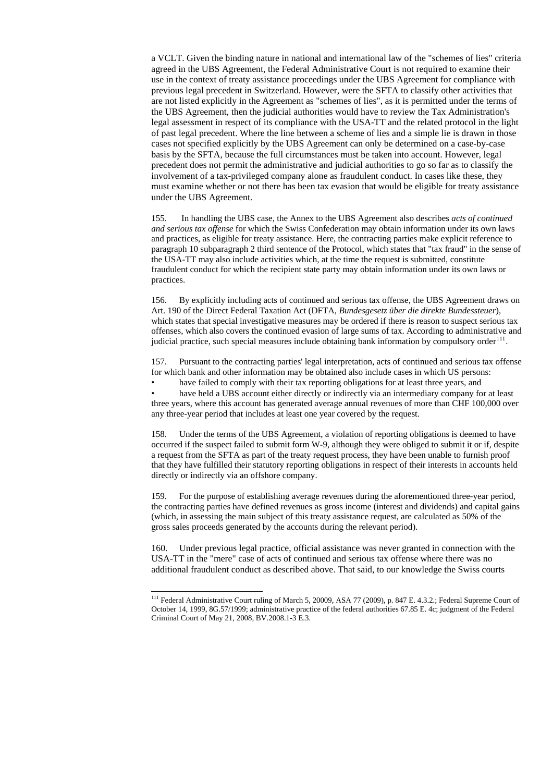a VCLT. Given the binding nature in national and international law of the "schemes of lies" criteria agreed in the UBS Agreement, the Federal Administrative Court is not required to examine their use in the context of treaty assistance proceedings under the UBS Agreement for compliance with previous legal precedent in Switzerland. However, were the SFTA to classify other activities that are not listed explicitly in the Agreement as "schemes of lies", as it is permitted under the terms of the UBS Agreement, then the judicial authorities would have to review the Tax Administration's legal assessment in respect of its compliance with the USA-TT and the related protocol in the light of past legal precedent. Where the line between a scheme of lies and a simple lie is drawn in those cases not specified explicitly by the UBS Agreement can only be determined on a case-by-case basis by the SFTA, because the full circumstances must be taken into account. However, legal precedent does not permit the administrative and judicial authorities to go so far as to classify the involvement of a tax-privileged company alone as fraudulent conduct. In cases like these, they must examine whether or not there has been tax evasion that would be eligible for treaty assistance under the UBS Agreement.

156. By explicitly including acts of continued and serious tax offense, the UBS Agreement draws on Art. 190 of the Direct Federal Taxation Act (DFTA, *Bundesgesetz über die direkte Bundessteuer*), which states that special investigative measures may be ordered if there is reason to suspect serious tax offenses, which also covers the continued evasion of large sums of tax. According to administrative and judicial practice, such special measures include obtaining bank information by compulsory order<sup>[111](#page-33-0)</sup>.

have held a UBS account either directly or indirectly via an intermediary company for at least three years, where this account has generated average annual revenues of more than CHF 100,000 over any three-year period that includes at least one year covered by the request.

155. In handling the UBS case, the Annex to the UBS Agreement also describes *acts of continued and serious tax offense* for which the Swiss Confederation may obtain information under its own laws and practices, as eligible for treaty assistance. Here, the contracting parties make explicit reference to paragraph 10 subparagraph 2 third sentence of the Protocol, which states that "tax fraud" in the sense of the USA-TT may also include activities which, at the time the request is submitted, constitute fraudulent conduct for which the recipient state party may obtain information under its own laws or practices.

<span id="page-33-0"></span> $111$  Federal Administrative Court ruling of March 5, 20009, ASA 77 (2009), p. 847 E. 4.3.2.; Federal Supreme Court of October 14, 1999, 8G.57/1999; administrative practice of the federal authorities 67.85 E. 4c; judgment of the Federal Criminal Court of May 21, 2008, BV.2008.1-3 E.3.

 $\overline{a}$ 

157. Pursuant to the contracting parties' legal interpretation, acts of continued and serious tax offense for which bank and other information may be obtained also include cases in which US persons:

have failed to comply with their tax reporting obligations for at least three years, and

158. Under the terms of the UBS Agreement, a violation of reporting obligations is deemed to have occurred if the suspect failed to submit form W-9, although they were obliged to submit it or if, despite a request from the SFTA as part of the treaty request process, they have been unable to furnish proof that they have fulfilled their statutory reporting obligations in respect of their interests in accounts held directly or indirectly via an offshore company.

159. For the purpose of establishing average revenues during the aforementioned three-year period, the contracting parties have defined revenues as gross income (interest and dividends) and capital gains (which, in assessing the main subject of this treaty assistance request, are calculated as 50% of the gross sales proceeds generated by the accounts during the relevant period).

160. Under previous legal practice, official assistance was never granted in connection with the USA-TT in the "mere" case of acts of continued and serious tax offense where there was no additional fraudulent conduct as described above. That said, to our knowledge the Swiss courts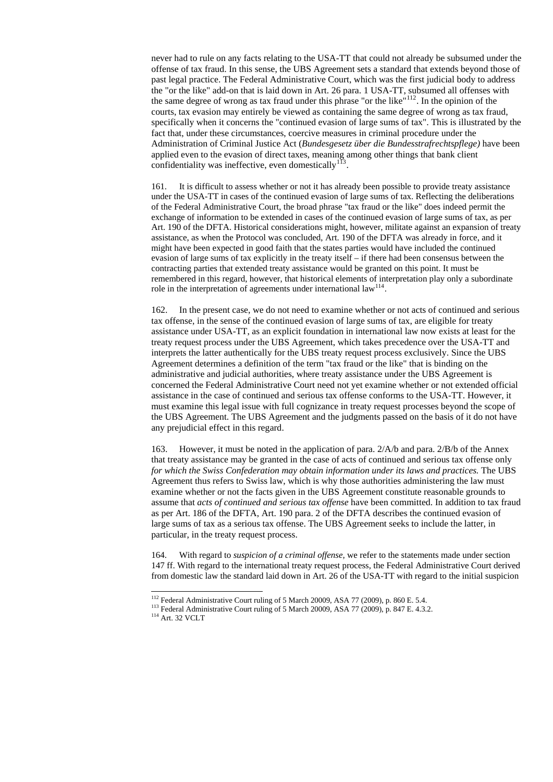never had to rule on any facts relating to the USA-TT that could not already be subsumed under the offense of tax fraud. In this sense, the UBS Agreement sets a standard that extends beyond those of past legal practice. The Federal Administrative Court, which was the first judicial body to address the "or the like" add-on that is laid down in Art. 26 para. 1 USA-TT, subsumed all offenses with the same degree of wrong as tax fraud under this phrase "or the like"<sup>[112](#page-34-0)</sup>. In the opinion of the courts, tax evasion may entirely be viewed as containing the same degree of wrong as tax fraud, specifically when it concerns the "continued evasion of large sums of tax". This is illustrated by the fact that, under these circumstances, coercive measures in criminal procedure under the Administration of Criminal Justice Act (*Bundesgesetz über die Bundesstrafrechtspflege)* have been applied even to the evasion of direct taxes, meaning among other things that bank client confidentiality was ineffective, even domestically  $113$ .

161. It is difficult to assess whether or not it has already been possible to provide treaty assistance under the USA-TT in cases of the continued evasion of large sums of tax. Reflecting the deliberations of the Federal Administrative Court, the broad phrase "tax fraud or the like" does indeed permit the exchange of information to be extended in cases of the continued evasion of large sums of tax, as per Art. 190 of the DFTA. Historical considerations might, however, militate against an expansion of treaty assistance, as when the Protocol was concluded, Art. 190 of the DFTA was already in force, and it might have been expected in good faith that the states parties would have included the continued evasion of large sums of tax explicitly in the treaty itself – if there had been consensus between the contracting parties that extended treaty assistance would be granted on this point. It must be remembered in this regard, however, that historical elements of interpretation play only a subordinate role in the interpretation of agreements under international  $law<sup>114</sup>$  $law<sup>114</sup>$  $law<sup>114</sup>$ .

162. In the present case, we do not need to examine whether or not acts of continued and serious tax offense, in the sense of the continued evasion of large sums of tax, are eligible for treaty assistance under USA-TT, as an explicit foundation in international law now exists at least for the treaty request process under the UBS Agreement, which takes precedence over the USA-TT and interprets the latter authentically for the UBS treaty request process exclusively. Since the UBS Agreement determines a definition of the term "tax fraud or the like" that is binding on the administrative and judicial authorities, where treaty assistance under the UBS Agreement is concerned the Federal Administrative Court need not yet examine whether or not extended official assistance in the case of continued and serious tax offense conforms to the USA-TT. However, it must examine this legal issue with full cognizance in treaty request processes beyond the scope of the UBS Agreement. The UBS Agreement and the judgments passed on the basis of it do not have any prejudicial effect in this regard.

163. However, it must be noted in the application of para. 2/A/b and para. 2/B/b of the Annex that treaty assistance may be granted in the case of acts of continued and serious tax offense only *for which the Swiss Confederation may obtain information under its laws and practices.* The UBS Agreement thus refers to Swiss law, which is why those authorities administering the law must examine whether or not the facts given in the UBS Agreement constitute reasonable grounds to assume that *acts of continued and serious tax offense* have been committed. In addition to tax fraud as per Art. 186 of the DFTA, Art. 190 para. 2 of the DFTA describes the continued evasion of large sums of tax as a serious tax offense. The UBS Agreement seeks to include the latter, in particular, in the treaty request process.

164. With regard to *suspicion of a criminal offense,* we refer to the statements made under section 147 ff. With regard to the international treaty request process, the Federal Administrative Court derived from domestic law the standard laid down in Art. 26 of the USA-TT with regard to the initial suspicion

<span id="page-34-2"></span><span id="page-34-1"></span><span id="page-34-0"></span>- $112$  Federal Administrative Court ruling of 5 March 20009, ASA 77 (2009), p. 860 E. 5.4. <sup>113</sup> Federal Administrative Court ruling of 5 March 20009, ASA 77 (2009), p. 847 E. 4.3.2. <sup>114</sup> Art. 32 VCLT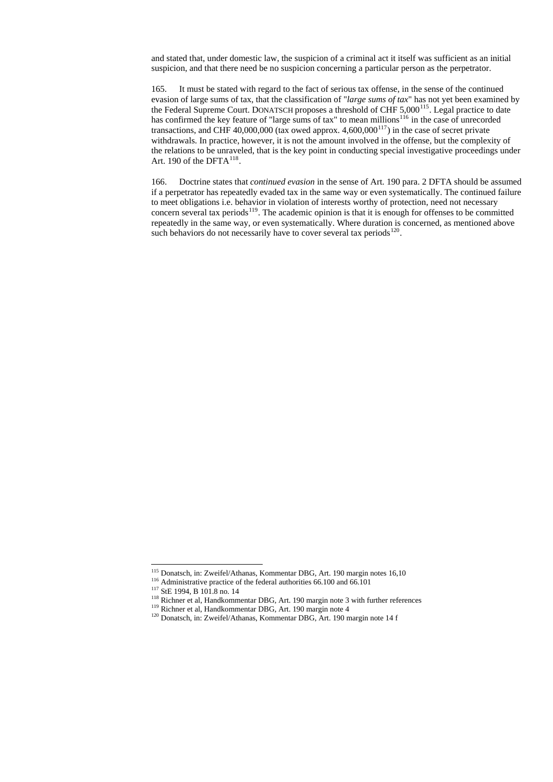and stated that, under domestic law, the suspicion of a criminal act it itself was sufficient as an initial suspicion, and that there need be no suspicion concerning a particular person as the perpetrator.

165. It must be stated with regard to the fact of serious tax offense, in the sense of the continued evasion of large sums of tax, that the classification of "*large sums of tax*" has not yet been examined by the Federal Supreme Court. DONATSCH proposes a threshold of CHF  $5,000^{115}$  $5,000^{115}$  $5,000^{115}$ . Legal practice to date has confirmed the key feature of "large sums of tax" to mean millions<sup>[116](#page-35-1)</sup> in the case of unrecorded transactions, and CHF 40,000,000 (tax owed approx.  $4,600,000^{117}$  $4,600,000^{117}$  $4,600,000^{117}$ ) in the case of secret private withdrawals. In practice, however, it is not the amount involved in the offense, but the complexity of the relations to be unraveled, that is the key point in conducting special investigative proceedings under Art. 190 of the  $DFTA^{118}$  $DFTA^{118}$  $DFTA^{118}$ .

166. Doctrine states that *continued evasion* in the sense of Art. 190 para. 2 DFTA should be assumed if a perpetrator has repeatedly evaded tax in the same way or even systematically. The continued failure to meet obligations i.e. behavior in violation of interests worthy of protection, need not necessary concern several tax periods<sup>[119](#page-35-4)</sup>. The academic opinion is that it is enough for offenses to be committed repeatedly in the same way, or even systematically. Where duration is concerned, as mentioned above such behaviors do not necessarily have to cover several tax periods<sup>[120](#page-35-5)</sup>.

<sup>117</sup> StE 1994, B 101.8 no. 14

 $\overline{a}$ 

118 Richner et al, Handkommentar DBG, Art. 190 margin note 3 with further references

<sup>119</sup> Richner et al, Handkommentar DBG, Art. 190 margin note 4

<span id="page-35-5"></span><span id="page-35-4"></span><span id="page-35-3"></span><span id="page-35-2"></span><span id="page-35-1"></span><span id="page-35-0"></span><sup>120</sup> Donatsch, in: Zweifel/Athanas, Kommentar DBG, Art. 190 margin note 14 f

<sup>&</sup>lt;sup>115</sup> Donatsch, in: Zweifel/Athanas, Kommentar DBG, Art. 190 margin notes 16,10

<sup>&</sup>lt;sup>116</sup> Administrative practice of the federal authorities 66.100 and 66.101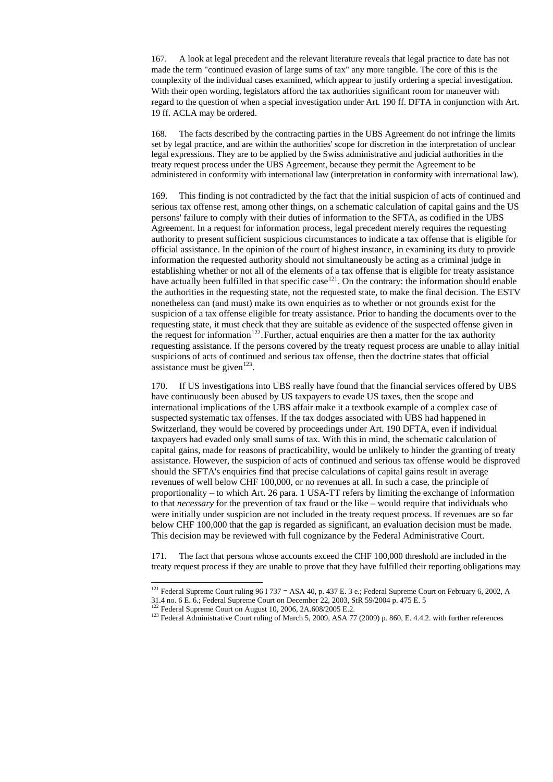167. A look at legal precedent and the relevant literature reveals that legal practice to date has not made the term "continued evasion of large sums of tax" any more tangible. The core of this is the complexity of the individual cases examined, which appear to justify ordering a special investigation. With their open wording, legislators afford the tax authorities significant room for maneuver with regard to the question of when a special investigation under Art. 190 ff. DFTA in conjunction with Art. 19 ff. ACLA may be ordered.

169. This finding is not contradicted by the fact that the initial suspicion of acts of continued and serious tax offense rest, among other things, on a schematic calculation of capital gains and the US persons' failure to comply with their duties of information to the SFTA, as codified in the UBS Agreement. In a request for information process, legal precedent merely requires the requesting authority to present sufficient suspicious circumstances to indicate a tax offense that is eligible for official assistance. In the opinion of the court of highest instance, in examining its duty to provide information the requested authority should not simultaneously be acting as a criminal judge in establishing whether or not all of the elements of a tax offense that is eligible for treaty assistance have actually been fulfilled in that specific case<sup>[121](#page-36-0)</sup>. On the contrary: the information should enable the authorities in the requesting state, not the requested state, to make the final decision. The ESTV nonetheless can (and must) make its own enquiries as to whether or not grounds exist for the suspicion of a tax offense eligible for treaty assistance. Prior to handing the documents over to the requesting state, it must check that they are suitable as evidence of the suspected offense given in the request for information<sup>[122](#page-36-1)</sup>. Further, actual enquiries are then a matter for the tax authority requesting assistance. If the persons covered by the treaty request process are unable to allay initial suspicions of acts of continued and serious tax offense, then the doctrine states that official assistance must be given<sup>[123](#page-36-2)</sup>.

168. The facts described by the contracting parties in the UBS Agreement do not infringe the limits set by legal practice, and are within the authorities' scope for discretion in the interpretation of unclear legal expressions. They are to be applied by the Swiss administrative and judicial authorities in the treaty request process under the UBS Agreement, because they permit the Agreement to be administered in conformity with international law (interpretation in conformity with international law).

<sup>121</sup> Federal Supreme Court ruling 96 I 737 = ASA 40, p. 437 E. 3 e.; Federal Supreme Court on February 6, 2002, A 31.4 no. 6 E. 6.; Federal Supreme Court on December 22, 2003, StR 59/2004 p. 475 E. 5

 $122$  Federal Supreme Court on August 10, 2006, 2A.608/2005 E.2.

 $\overline{a}$ 

<span id="page-36-2"></span><span id="page-36-1"></span><span id="page-36-0"></span> $123$  Federal Administrative Court ruling of March 5, 2009, ASA 77 (2009) p. 860, E. 4.4.2. with further references

170. If US investigations into UBS really have found that the financial services offered by UBS have continuously been abused by US taxpayers to evade US taxes, then the scope and international implications of the UBS affair make it a textbook example of a complex case of suspected systematic tax offenses. If the tax dodges associated with UBS had happened in Switzerland, they would be covered by proceedings under Art. 190 DFTA, even if individual taxpayers had evaded only small sums of tax. With this in mind, the schematic calculation of capital gains, made for reasons of practicability, would be unlikely to hinder the granting of treaty assistance. However, the suspicion of acts of continued and serious tax offense would be disproved should the SFTA's enquiries find that precise calculations of capital gains result in average revenues of well below CHF 100,000, or no revenues at all. In such a case, the principle of proportionality – to which Art. 26 para. 1 USA-TT refers by limiting the exchange of information to that *necessary* for the prevention of tax fraud or the like – would require that individuals who were initially under suspicion are not included in the treaty request process. If revenues are so far below CHF 100,000 that the gap is regarded as significant, an evaluation decision must be made. This decision may be reviewed with full cognizance by the Federal Administrative Court.

171. The fact that persons whose accounts exceed the CHF 100,000 threshold are included in the treaty request process if they are unable to prove that they have fulfilled their reporting obligations may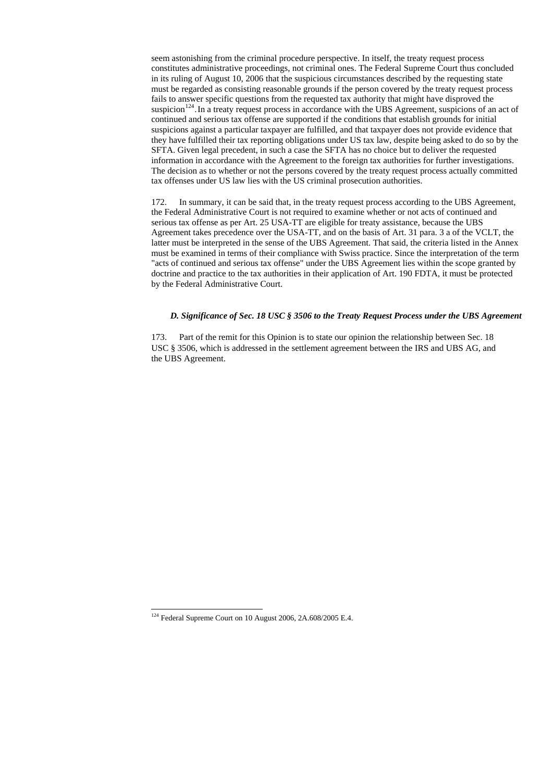seem astonishing from the criminal procedure perspective. In itself, the treaty request process constitutes administrative proceedings, not criminal ones. The Federal Supreme Court thus concluded in its ruling of August 10, 2006 that the suspicious circumstances described by the requesting state must be regarded as consisting reasonable grounds if the person covered by the treaty request process fails to answer specific questions from the requested tax authority that might have disproved the suspicion<sup>[124](#page-37-0)</sup>. In a treaty request process in accordance with the UBS Agreement, suspicions of an act of continued and serious tax offense are supported if the conditions that establish grounds for initial suspicions against a particular taxpayer are fulfilled, and that taxpayer does not provide evidence that they have fulfilled their tax reporting obligations under US tax law, despite being asked to do so by the SFTA. Given legal precedent, in such a case the SFTA has no choice but to deliver the requested information in accordance with the Agreement to the foreign tax authorities for further investigations. The decision as to whether or not the persons covered by the treaty request process actually committed tax offenses under US law lies with the US criminal prosecution authorities.

172. In summary, it can be said that, in the treaty request process according to the UBS Agreement, the Federal Administrative Court is not required to examine whether or not acts of continued and serious tax offense as per Art. 25 USA-TT are eligible for treaty assistance, because the UBS Agreement takes precedence over the USA-TT, and on the basis of Art. 31 para. 3 a of the VCLT, the latter must be interpreted in the sense of the UBS Agreement. That said, the criteria listed in the Annex must be examined in terms of their compliance with Swiss practice. Since the interpretation of the term "acts of continued and serious tax offense" under the UBS Agreement lies within the scope granted by doctrine and practice to the tax authorities in their application of Art. 190 FDTA, it must be protected by the Federal Administrative Court.

#### *D. Significance of Sec. 18 USC § 3506 to the Treaty Request Process under the UBS Agreement*

173. Part of the remit for this Opinion is to state our opinion the relationship between Sec. 18 USC § 3506, which is addressed in the settlement agreement between the IRS and UBS AG, and the UBS Agreement.

<span id="page-37-0"></span><sup>124</sup> Federal Supreme Court on 10 August 2006, 2A.608/2005 E.4.

 $\overline{a}$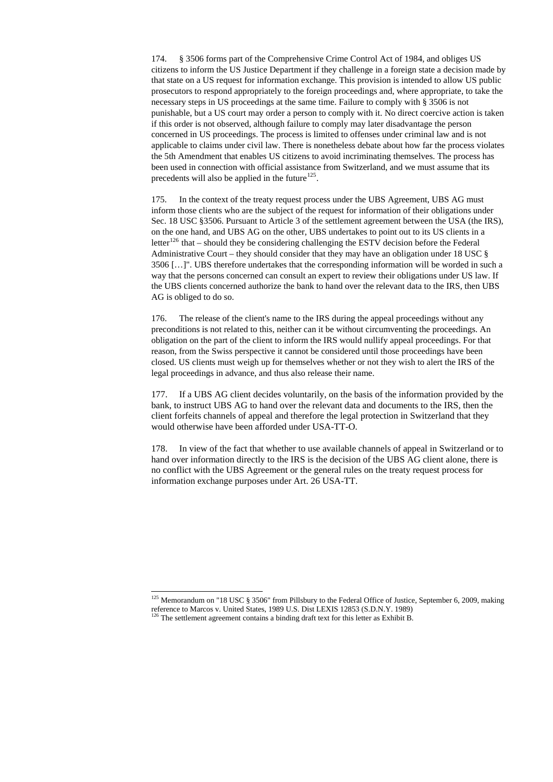174. § 3506 forms part of the Comprehensive Crime Control Act of 1984, and obliges US citizens to inform the US Justice Department if they challenge in a foreign state a decision made by that state on a US request for information exchange. This provision is intended to allow US public prosecutors to respond appropriately to the foreign proceedings and, where appropriate, to take the necessary steps in US proceedings at the same time. Failure to comply with § 3506 is not punishable, but a US court may order a person to comply with it. No direct coercive action is taken if this order is not observed, although failure to comply may later disadvantage the person concerned in US proceedings. The process is limited to offenses under criminal law and is not applicable to claims under civil law. There is nonetheless debate about how far the process violates the 5th Amendment that enables US citizens to avoid incriminating themselves. The process has been used in connection with official assistance from Switzerland, and we must assume that its precedents will also be applied in the future<sup>[125](#page-38-0)</sup>.

175. In the context of the treaty request process under the UBS Agreement, UBS AG must inform those clients who are the subject of the request for information of their obligations under Sec. 18 USC §3506. Pursuant to Article 3 of the settlement agreement between the USA (the IRS), on the one hand, and UBS AG on the other, UBS undertakes to point out to its US clients in a letter<sup>[126](#page-38-1)</sup> that – should they be considering challenging the ESTV decision before the Federal Administrative Court – they should consider that they may have an obligation under 18 USC § 3506 […]". UBS therefore undertakes that the corresponding information will be worded in such a way that the persons concerned can consult an expert to review their obligations under US law. If the UBS clients concerned authorize the bank to hand over the relevant data to the IRS, then UBS AG is obliged to do so.

176. The release of the client's name to the IRS during the appeal proceedings without any preconditions is not related to this, neither can it be without circumventing the proceedings. An obligation on the part of the client to inform the IRS would nullify appeal proceedings. For that reason, from the Swiss perspective it cannot be considered until those proceedings have been closed. US clients must weigh up for themselves whether or not they wish to alert the IRS of the legal proceedings in advance, and thus also release their name.

177. If a UBS AG client decides voluntarily, on the basis of the information provided by the bank, to instruct UBS AG to hand over the relevant data and documents to the IRS, then the client forfeits channels of appeal and therefore the legal protection in Switzerland that they would otherwise have been afforded under USA-TT-O.

178. In view of the fact that whether to use available channels of appeal in Switzerland or to hand over information directly to the IRS is the decision of the UBS AG client alone, there is no conflict with the UBS Agreement or the general rules on the treaty request process for information exchange purposes under Art. 26 USA-TT.

<span id="page-38-1"></span><span id="page-38-0"></span> $125$  Memorandum on "18 USC § 3506" from Pillsbury to the Federal Office of Justice, September 6, 2009, making reference to Marcos v. United States, 1989 U.S. Dist LEXIS 12853 (S.D.N.Y. 1989)  $126$  The settlement agreement contains a binding draft text for this letter as Exhibit B.

-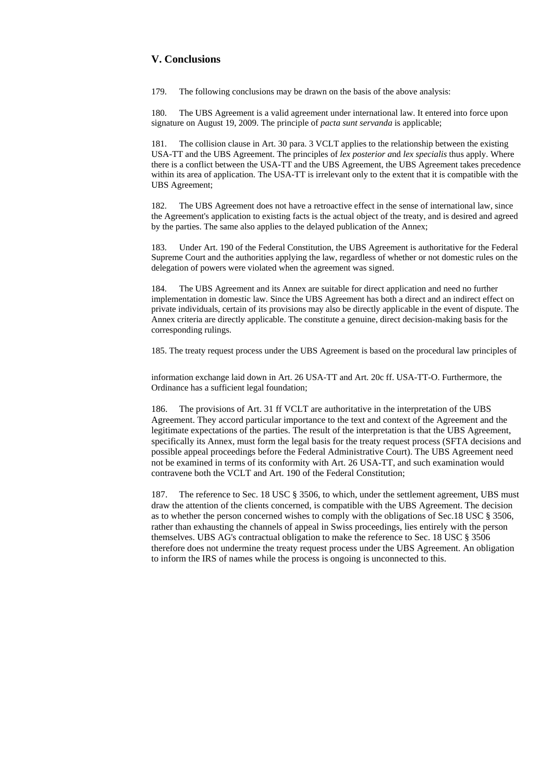# **V. Conclusions**

179. The following conclusions may be drawn on the basis of the above analysis:

180. The UBS Agreement is a valid agreement under international law. It entered into force upon signature on August 19, 2009. The principle of *pacta sunt servanda* is applicable;

181. The collision clause in Art. 30 para. 3 VCLT applies to the relationship between the existing USA-TT and the UBS Agreement. The principles of *lex posterior a*nd *lex specialis* thus apply. Where there is a conflict between the USA-TT and the UBS Agreement, the UBS Agreement takes precedence within its area of application. The USA-TT is irrelevant only to the extent that it is compatible with the UBS Agreement;

182. The UBS Agreement does not have a retroactive effect in the sense of international law, since the Agreement's application to existing facts is the actual object of the treaty, and is desired and agreed by the parties. The same also applies to the delayed publication of the Annex;

183. Under Art. 190 of the Federal Constitution, the UBS Agreement is authoritative for the Federal Supreme Court and the authorities applying the law, regardless of whether or not domestic rules on the delegation of powers were violated when the agreement was signed.

184. The UBS Agreement and its Annex are suitable for direct application and need no further implementation in domestic law. Since the UBS Agreement has both a direct and an indirect effect on private individuals, certain of its provisions may also be directly applicable in the event of dispute. The Annex criteria are directly applicable. The constitute a genuine, direct decision-making basis for the corresponding rulings.

185. The treaty request process under the UBS Agreement is based on the procedural law principles of

information exchange laid down in Art. 26 USA-TT and Art. 20c ff. USA-TT-O. Furthermore, the Ordinance has a sufficient legal foundation;

186. The provisions of Art. 31 ff VCLT are authoritative in the interpretation of the UBS Agreement. They accord particular importance to the text and context of the Agreement and the legitimate expectations of the parties. The result of the interpretation is that the UBS Agreement, specifically its Annex, must form the legal basis for the treaty request process (SFTA decisions and possible appeal proceedings before the Federal Administrative Court). The UBS Agreement need not be examined in terms of its conformity with Art. 26 USA-TT, and such examination would contravene both the VCLT and Art. 190 of the Federal Constitution;

187. The reference to Sec. 18 USC § 3506, to which, under the settlement agreement, UBS must draw the attention of the clients concerned, is compatible with the UBS Agreement. The decision as to whether the person concerned wishes to comply with the obligations of Sec.18 USC § 3506, rather than exhausting the channels of appeal in Swiss proceedings, lies entirely with the person themselves. UBS AG's contractual obligation to make the reference to Sec. 18 USC § 3506 therefore does not undermine the treaty request process under the UBS Agreement. An obligation to inform the IRS of names while the process is ongoing is unconnected to this.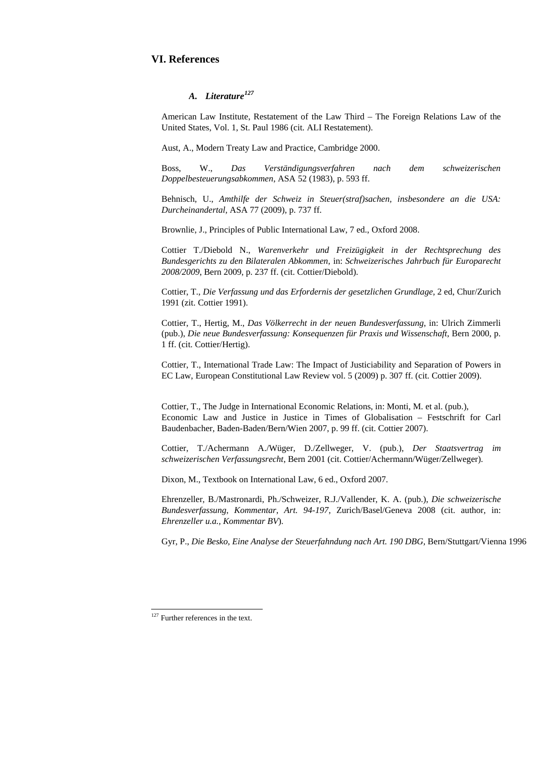# **VI. References**

# *Literature[127](#page-40-0) A.*

American Law Institute, Restatement of the Law Third – The Foreign Relations Law of the United States, Vol. 1, St. Paul 1986 (cit. ALI Restatement).

Aust, A., Modern Treaty Law and Practice, Cambridge 2000.

Boss, W., *Das Verständigungsverfahren nach dem schweizerischen Doppelbesteuerungsabkommen*, ASA 52 (1983), p. 593 ff.

Behnisch, U., *Amthilfe der Schweiz in Steuer(straf)sachen, insbesondere an die USA: Durcheinandertal,* ASA 77 (2009), p. 737 ff.

Brownlie, J., Principles of Public International Law, 7 ed., Oxford 2008.

Cottier T./Diebold N., *Warenverkehr und Freizügigkeit in der Rechtsprechung des Bundesgerichts zu den Bilateralen Abkommen*, in: *Schweizerisches Jahrbuch für Europarecht 2008/2009*, Bern 2009, p. 237 ff. (cit. Cottier/Diebold).

Cottier, T., *Die Verfassung und das Erfordernis der gesetzlichen Grundlage*, 2 ed, Chur/Zurich 1991 (zit. Cottier 1991).

Cottier, T., Hertig, M., *Das Völkerrecht in der neuen Bundesverfassung*, in: Ulrich Zimmerli (pub.), *Die neue Bundesverfassung: Konsequenzen für Praxis und Wissenschaft*, Bern 2000, p. 1 ff. (cit. Cottier/Hertig).

Cottier, T., International Trade Law: The Impact of Justiciability and Separation of Powers in EC Law, European Constitutional Law Review vol. 5 (2009) p. 307 ff. (cit. Cottier 2009).

Cottier, T., The Judge in International Economic Relations, in: Monti, M. et al. (pub.), Economic Law and Justice in Justice in Times of Globalisation – Festschrift for Carl Baudenbacher, Baden-Baden/Bern/Wien 2007, p. 99 ff. (cit. Cottier 2007).

Cottier, T./Achermann A./Wüger, D./Zellweger, V. (pub.), *Der Staatsvertrag im schweizerischen Verfassungsrecht*, Bern 2001 (cit. Cottier/Achermann/Wüger/Zellweger).

Dixon, M., Textbook on International Law, 6 ed., Oxford 2007.

Ehrenzeller, B./Mastronardi, Ph./Schweizer, R.J./Vallender, K. A. (pub.), *Die schweizerische Bundesverfassung*, *Kommentar*, *Art. 94-197*, Zurich/Basel/Geneva 2008 (cit. author, in: *Ehrenzeller u.a., Kommentar BV*).

Gyr, P., *Die Besko, Eine Analyse der Steuerfahndung nach Art. 190 DBG,* Bern/Stuttgart/Vienna 1996

<span id="page-40-0"></span> $127$  Further references in the text.

 $\overline{a}$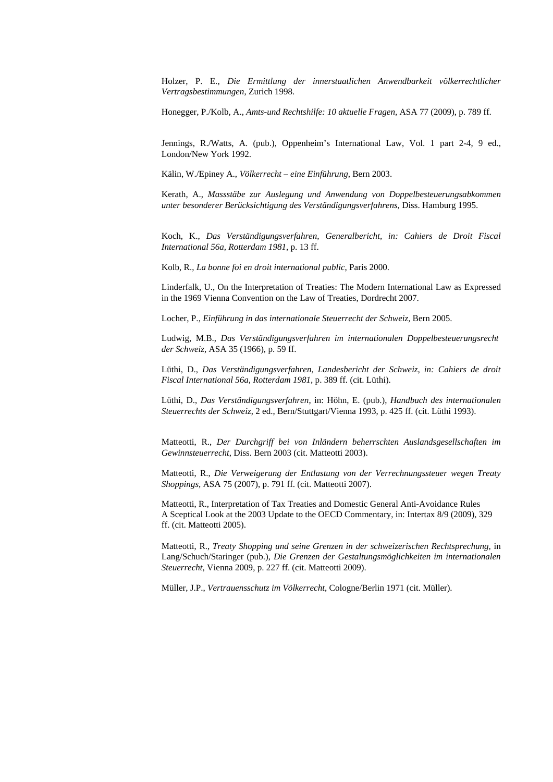Holzer, P. E., *Die Ermittlung der innerstaatlichen Anwendbarkeit völkerrechtlicher Vertragsbestimmungen*, Zurich 1998.

Honegger, P./Kolb, A., *Amts-und Rechtshilfe: 10 aktuelle Fragen,* ASA 77 (2009), p. 789 ff.

Jennings, R./Watts, A. (pub.), Oppenheim's International Law, Vol. 1 part 2-4, 9 ed., London/New York 1992.

Kälin, W./Epiney A., *Völkerrecht – eine Einführung*, Bern 2003.

Kerath, A., *Massstäbe zur Auslegung und Anwendung von Doppelbesteuerungsabkommen unter besonderer Berücksichtigung des Verständigungsverfahrens*, Diss. Hamburg 1995.

Koch, K., *Das Verständigungsverfahren, Generalbericht, in: Cahiers de Droit Fiscal International 56a, Rotterdam 1981*, p. 13 ff.

Kolb, R., *La bonne foi en droit international public*, Paris 2000.

Linderfalk, U., On the Interpretation of Treaties: The Modern International Law as Expressed in the 1969 Vienna Convention on the Law of Treaties, Dordrecht 2007.

Locher, P., *Einführung in das internationale Steuerrecht der Schweiz,* Bern 2005.

Ludwig, M.B., *Das Verständigungsverfahren im internationalen Doppelbesteuerungsrecht der Schweiz*, ASA 35 (1966), p. 59 ff.

Lüthi, D., *Das Verständigungsverfahren, Landesbericht der Schweiz, in: Cahiers de droit Fiscal International 56a, Rotterdam 1981,* p. 389 ff. (cit. Lüthi).

Lüthi, D., *Das Verständigungsverfahren*, in: Höhn, E. (pub.), *Handbuch des internationalen Steuerrechts der Schweiz*, 2 ed., Bern/Stuttgart/Vienna 1993, p. 425 ff. (cit. Lüthi 1993).

Matteotti, R., *Der Durchgriff bei von Inländern beherrschten Auslandsgesellschaften im Gewinnsteuerrecht*, Diss. Bern 2003 (cit. Matteotti 2003).

Matteotti, R., *Die Verweigerung der Entlastung von der Verrechnungssteuer wegen Treaty Shoppings,* ASA 75 (2007), p. 791 ff. (cit. Matteotti 2007).

Matteotti, R., Interpretation of Tax Treaties and Domestic General Anti-Avoidance Rules A Sceptical Look at the 2003 Update to the OECD Commentary, in: Intertax 8/9 (2009), 329 ff. (cit. Matteotti 2005).

Matteotti, R., *Treaty Shopping und seine Grenzen in der schweizerischen Rechtsprechung,* in Lang/Schuch/Staringer (pub.), *Die Grenzen der Gestaltungsmöglichkeiten im internationalen Steuerrecht*, Vienna 2009, p. 227 ff. (cit. Matteotti 2009).

Müller, J.P., *Vertrauensschutz im Völkerrecht*, Cologne/Berlin 1971 (cit. Müller).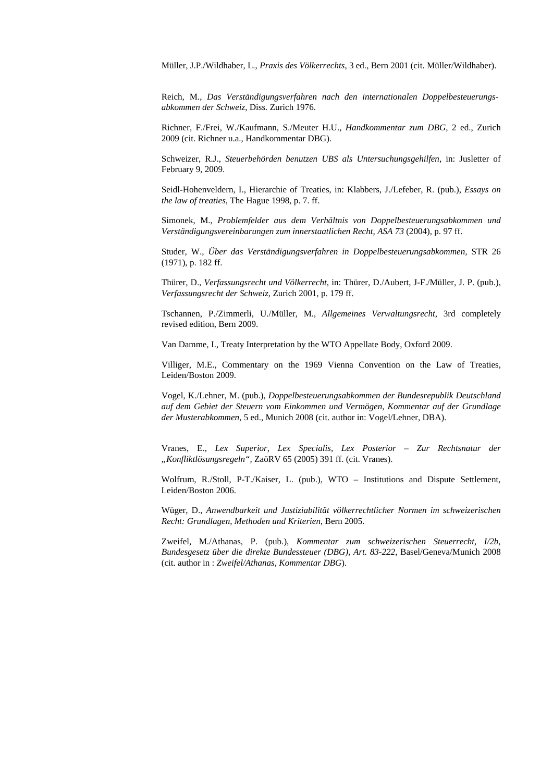Müller, J.P./Wildhaber, L., *Praxis des Völkerrechts*, 3 ed., Bern 2001 (cit. Müller/Wildhaber).

Reich, M., *Das Verständigungsverfahren nach den internationalen Doppelbesteuerungsabkommen der Schweiz*, Diss. Zurich 1976.

Richner, F./Frei, W./Kaufmann, S./Meuter H.U., *Handkommentar zum DBG,* 2 ed., Zurich 2009 (cit. Richner u.a., Handkommentar DBG).

Schweizer, R.J., *Steuerbehörden benutzen UBS als Untersuchungsgehilfen*, in: Jusletter of February 9, 2009.

Seidl-Hohenveldern, I., Hierarchie of Treaties, in: Klabbers, J./Lefeber, R. (pub.), *Essays on the law of treaties*, The Hague 1998, p. 7. ff.

Simonek, M., *Problemfelder aus dem Verhältnis von Doppelbesteuerungsabkommen und Verständigungsvereinbarungen zum innerstaatlichen Recht, ASA 73* (2004), p. 97 ff.

Studer, W., *Über das Verständigungsverfahren in Doppelbesteuerungsabkommen,* STR 26 (1971), p. 182 ff.

Thürer, D., *Verfassungsrecht und Völkerrecht*, in: Thürer, D./Aubert, J-F./Müller, J. P. (pub.), *Verfassungsrecht der Schweiz*, Zurich 2001, p. 179 ff.

Tschannen, P./Zimmerli, U./Müller, M., *Allgemeines Verwaltungsrecht*, 3rd completely revised edition, Bern 2009.

Van Damme, I., Treaty Interpretation by the WTO Appellate Body, Oxford 2009.

Villiger, M.E., Commentary on the 1969 Vienna Convention on the Law of Treaties, Leiden/Boston 2009.

Vogel, K./Lehner, M. (pub.), *Doppelbesteuerungsabkommen der Bundesrepublik Deutschland auf dem Gebiet der Steuern vom Einkommen und Vermögen, Kommentar auf der Grundlage der Musterabkommen*, 5 ed., Munich 2008 (cit. author in: Vogel/Lehner, DBA).

Vranes, E., *Lex Superior, Lex Specialis, Lex Posterior – Zur Rechtsnatur der "Konfliktlösungsregeln",* ZaöRV 65 (2005) 391 ff. (cit. Vranes).

Wolfrum, R./Stoll, P-T./Kaiser, L. (pub.), WTO – Institutions and Dispute Settlement, Leiden/Boston 2006.

Wüger, D., *Anwendbarkeit und Justiziabilität völkerrechtlicher Normen im schweizerischen Recht: Grundlagen, Methoden und Kriterien*, Bern 2005.

Zweifel, M./Athanas, P. (pub.), *Kommentar zum schweizerischen Steuerrecht, I/2b, Bundesgesetz über die direkte Bundessteuer (DBG), Art. 83-222,* Basel/Geneva/Munich 2008 (cit. author in : *Zweifel/Athanas, Kommentar DBG*).